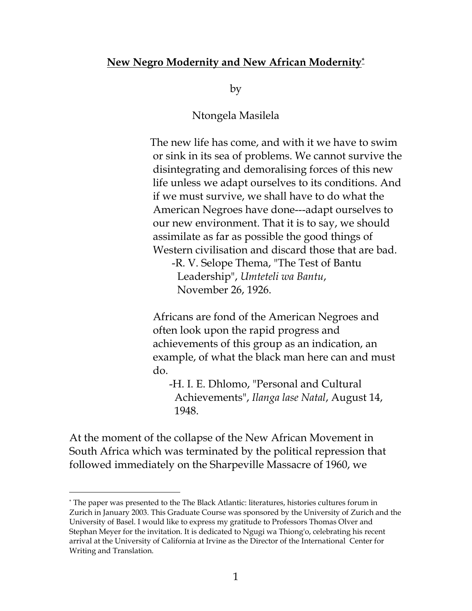## **New Negro Modernity and New African Modernity\***

by

Ntongela Masilela

 The new life has come, and with it we have to swim or sink in its sea of problems. We cannot survive the disintegrating and demoralising forces of this new life unless we adapt ourselves to its conditions. And if we must survive, we shall have to do what the American Negroes have done---adapt ourselves to our new environment. That it is to say, we should assimilate as far as possible the good things of Western civilisation and discard those that are bad.

 -R. V. Selope Thema, "The Test of Bantu Leadership", *Umteteli wa Bantu*, November 26, 1926.

 Africans are fond of the American Negroes and often look upon the rapid progress and achievements of this group as an indication, an example, of what the black man here can and must do.

 -H. I. E. Dhlomo, "Personal and Cultural Achievements", *Ilanga lase Natal*, August 14, 1948.

At the moment of the collapse of the New African Movement in South Africa which was terminated by the political repression that followed immediately on the Sharpeville Massacre of 1960, we

 <sup>\*</sup> The paper was presented to the The Black Atlantic: literatures, histories cultures forum in Zurich in January 2003. This Graduate Course was sponsored by the University of Zurich and the University of Basel. I would like to express my gratitude to Professors Thomas Olver and Stephan Meyer for the invitation. It is dedicated to Ngugi wa Thiong'o, celebrating his recent arrival at the University of California at Irvine as the Director of the International Center for Writing and Translation.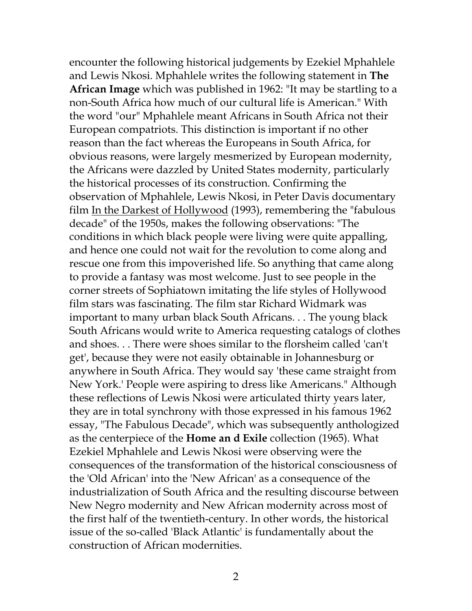encounter the following historical judgements by Ezekiel Mphahlele and Lewis Nkosi. Mphahlele writes the following statement in **The African Image** which was published in 1962: "It may be startling to a non-South Africa how much of our cultural life is American." With the word "our" Mphahlele meant Africans in South Africa not their European compatriots. This distinction is important if no other reason than the fact whereas the Europeans in South Africa, for obvious reasons, were largely mesmerized by European modernity, the Africans were dazzled by United States modernity, particularly the historical processes of its construction. Confirming the observation of Mphahlele, Lewis Nkosi, in Peter Davis documentary film In the Darkest of Hollywood (1993), remembering the "fabulous decade" of the 1950s, makes the following observations: "The conditions in which black people were living were quite appalling, and hence one could not wait for the revolution to come along and rescue one from this impoverished life. So anything that came along to provide a fantasy was most welcome. Just to see people in the corner streets of Sophiatown imitating the life styles of Hollywood film stars was fascinating. The film star Richard Widmark was important to many urban black South Africans. . . The young black South Africans would write to America requesting catalogs of clothes and shoes. . . There were shoes similar to the florsheim called 'can't get', because they were not easily obtainable in Johannesburg or anywhere in South Africa. They would say 'these came straight from New York.' People were aspiring to dress like Americans." Although these reflections of Lewis Nkosi were articulated thirty years later, they are in total synchrony with those expressed in his famous 1962 essay, "The Fabulous Decade", which was subsequently anthologized as the centerpiece of the **Home an d Exile** collection (1965). What Ezekiel Mphahlele and Lewis Nkosi were observing were the consequences of the transformation of the historical consciousness of the 'Old African' into the 'New African' as a consequence of the industrialization of South Africa and the resulting discourse between New Negro modernity and New African modernity across most of the first half of the twentieth-century. In other words, the historical issue of the so-called 'Black Atlantic' is fundamentally about the construction of African modernities.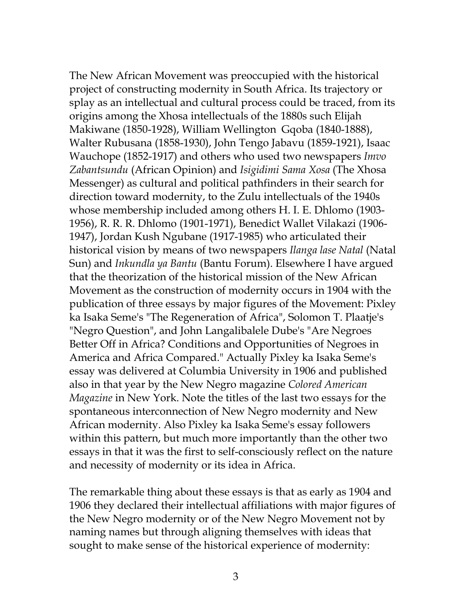The New African Movement was preoccupied with the historical project of constructing modernity in South Africa. Its trajectory or splay as an intellectual and cultural process could be traced, from its origins among the Xhosa intellectuals of the 1880s such Elijah Makiwane (1850-1928), William Wellington Gqoba (1840-1888), Walter Rubusana (1858-1930), John Tengo Jabavu (1859-1921), Isaac Wauchope (1852-1917) and others who used two newspapers *Imvo Zabantsundu* (African Opinion) and *Isigidimi Sama Xosa* (The Xhosa Messenger) as cultural and political pathfinders in their search for direction toward modernity, to the Zulu intellectuals of the 1940s whose membership included among others H. I. E. Dhlomo (1903- 1956), R. R. R. Dhlomo (1901-1971), Benedict Wallet Vilakazi (1906- 1947), Jordan Kush Ngubane (1917-1985) who articulated their historical vision by means of two newspapers *Ilanga lase Natal* (Natal Sun) and *Inkundla ya Bantu* (Bantu Forum). Elsewhere I have argued that the theorization of the historical mission of the New African Movement as the construction of modernity occurs in 1904 with the publication of three essays by major figures of the Movement: Pixley ka Isaka Seme's "The Regeneration of Africa", Solomon T. Plaatje's "Negro Question", and John Langalibalele Dube's "Are Negroes Better Off in Africa? Conditions and Opportunities of Negroes in America and Africa Compared." Actually Pixley ka Isaka Seme's essay was delivered at Columbia University in 1906 and published also in that year by the New Negro magazine *Colored American Magazine* in New York. Note the titles of the last two essays for the spontaneous interconnection of New Negro modernity and New African modernity. Also Pixley ka Isaka Seme's essay followers within this pattern, but much more importantly than the other two essays in that it was the first to self-consciously reflect on the nature and necessity of modernity or its idea in Africa.

The remarkable thing about these essays is that as early as 1904 and 1906 they declared their intellectual affiliations with major figures of the New Negro modernity or of the New Negro Movement not by naming names but through aligning themselves with ideas that sought to make sense of the historical experience of modernity: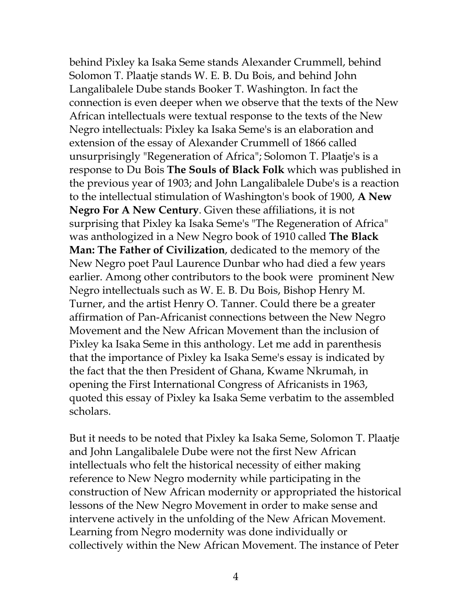behind Pixley ka Isaka Seme stands Alexander Crummell, behind Solomon T. Plaatje stands W. E. B. Du Bois, and behind John Langalibalele Dube stands Booker T. Washington. In fact the connection is even deeper when we observe that the texts of the New African intellectuals were textual response to the texts of the New Negro intellectuals: Pixley ka Isaka Seme's is an elaboration and extension of the essay of Alexander Crummell of 1866 called unsurprisingly "Regeneration of Africa"; Solomon T. Plaatje's is a response to Du Bois **The Souls of Black Folk** which was published in the previous year of 1903; and John Langalibalele Dube's is a reaction to the intellectual stimulation of Washington's book of 1900, **A New Negro For A New Century**. Given these affiliations, it is not surprising that Pixley ka Isaka Seme's "The Regeneration of Africa" was anthologized in a New Negro book of 1910 called **The Black Man: The Father of Civilization**, dedicated to the memory of the New Negro poet Paul Laurence Dunbar who had died a few years earlier. Among other contributors to the book were prominent New Negro intellectuals such as W. E. B. Du Bois, Bishop Henry M. Turner, and the artist Henry O. Tanner. Could there be a greater affirmation of Pan-Africanist connections between the New Negro Movement and the New African Movement than the inclusion of Pixley ka Isaka Seme in this anthology. Let me add in parenthesis that the importance of Pixley ka Isaka Seme's essay is indicated by the fact that the then President of Ghana, Kwame Nkrumah, in opening the First International Congress of Africanists in 1963, quoted this essay of Pixley ka Isaka Seme verbatim to the assembled scholars.

But it needs to be noted that Pixley ka Isaka Seme, Solomon T. Plaatje and John Langalibalele Dube were not the first New African intellectuals who felt the historical necessity of either making reference to New Negro modernity while participating in the construction of New African modernity or appropriated the historical lessons of the New Negro Movement in order to make sense and intervene actively in the unfolding of the New African Movement. Learning from Negro modernity was done individually or collectively within the New African Movement. The instance of Peter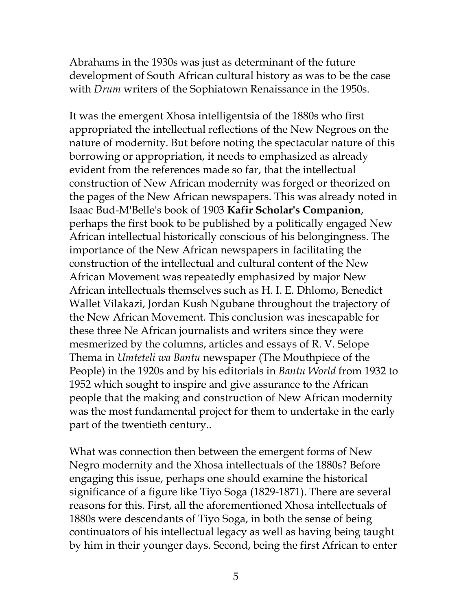Abrahams in the 1930s was just as determinant of the future development of South African cultural history as was to be the case with *Drum* writers of the Sophiatown Renaissance in the 1950s.

It was the emergent Xhosa intelligentsia of the 1880s who first appropriated the intellectual reflections of the New Negroes on the nature of modernity. But before noting the spectacular nature of this borrowing or appropriation, it needs to emphasized as already evident from the references made so far, that the intellectual construction of New African modernity was forged or theorized on the pages of the New African newspapers. This was already noted in Isaac Bud-M'Belle's book of 1903 **Kafir Scholar's Companion**, perhaps the first book to be published by a politically engaged New African intellectual historically conscious of his belongingness. The importance of the New African newspapers in facilitating the construction of the intellectual and cultural content of the New African Movement was repeatedly emphasized by major New African intellectuals themselves such as H. I. E. Dhlomo, Benedict Wallet Vilakazi, Jordan Kush Ngubane throughout the trajectory of the New African Movement. This conclusion was inescapable for these three Ne African journalists and writers since they were mesmerized by the columns, articles and essays of R. V. Selope Thema in *Umteteli wa Bantu* newspaper (The Mouthpiece of the People) in the 1920s and by his editorials in *Bantu World* from 1932 to 1952 which sought to inspire and give assurance to the African people that the making and construction of New African modernity was the most fundamental project for them to undertake in the early part of the twentieth century..

What was connection then between the emergent forms of New Negro modernity and the Xhosa intellectuals of the 1880s? Before engaging this issue, perhaps one should examine the historical significance of a figure like Tiyo Soga (1829-1871). There are several reasons for this. First, all the aforementioned Xhosa intellectuals of 1880s were descendants of Tiyo Soga, in both the sense of being continuators of his intellectual legacy as well as having being taught by him in their younger days. Second, being the first African to enter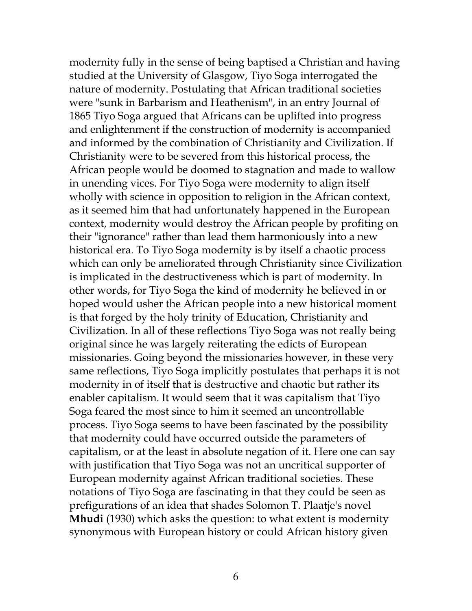modernity fully in the sense of being baptised a Christian and having studied at the University of Glasgow, Tiyo Soga interrogated the nature of modernity. Postulating that African traditional societies were "sunk in Barbarism and Heathenism", in an entry Journal of 1865 Tiyo Soga argued that Africans can be uplifted into progress and enlightenment if the construction of modernity is accompanied and informed by the combination of Christianity and Civilization. If Christianity were to be severed from this historical process, the African people would be doomed to stagnation and made to wallow in unending vices. For Tiyo Soga were modernity to align itself wholly with science in opposition to religion in the African context, as it seemed him that had unfortunately happened in the European context, modernity would destroy the African people by profiting on their "ignorance" rather than lead them harmoniously into a new historical era. To Tiyo Soga modernity is by itself a chaotic process which can only be ameliorated through Christianity since Civilization is implicated in the destructiveness which is part of modernity. In other words, for Tiyo Soga the kind of modernity he believed in or hoped would usher the African people into a new historical moment is that forged by the holy trinity of Education, Christianity and Civilization. In all of these reflections Tiyo Soga was not really being original since he was largely reiterating the edicts of European missionaries. Going beyond the missionaries however, in these very same reflections, Tiyo Soga implicitly postulates that perhaps it is not modernity in of itself that is destructive and chaotic but rather its enabler capitalism. It would seem that it was capitalism that Tiyo Soga feared the most since to him it seemed an uncontrollable process. Tiyo Soga seems to have been fascinated by the possibility that modernity could have occurred outside the parameters of capitalism, or at the least in absolute negation of it. Here one can say with justification that Tiyo Soga was not an uncritical supporter of European modernity against African traditional societies. These notations of Tiyo Soga are fascinating in that they could be seen as prefigurations of an idea that shades Solomon T. Plaatje's novel **Mhudi** (1930) which asks the question: to what extent is modernity synonymous with European history or could African history given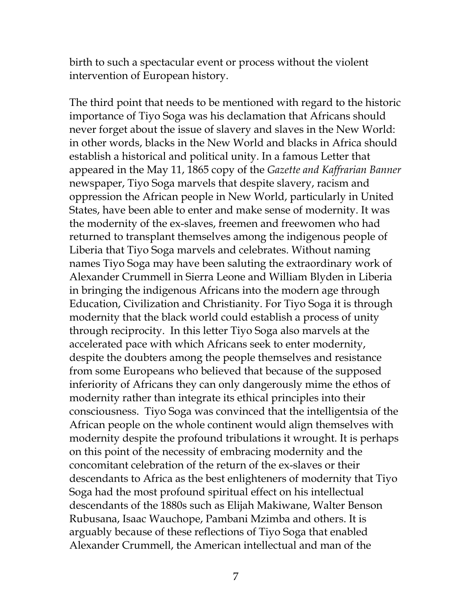birth to such a spectacular event or process without the violent intervention of European history.

The third point that needs to be mentioned with regard to the historic importance of Tiyo Soga was his declamation that Africans should never forget about the issue of slavery and slaves in the New World: in other words, blacks in the New World and blacks in Africa should establish a historical and political unity. In a famous Letter that appeared in the May 11, 1865 copy of the *Gazette and Kaffrarian Banner* newspaper, Tiyo Soga marvels that despite slavery, racism and oppression the African people in New World, particularly in United States, have been able to enter and make sense of modernity. It was the modernity of the ex-slaves, freemen and freewomen who had returned to transplant themselves among the indigenous people of Liberia that Tiyo Soga marvels and celebrates. Without naming names Tiyo Soga may have been saluting the extraordinary work of Alexander Crummell in Sierra Leone and William Blyden in Liberia in bringing the indigenous Africans into the modern age through Education, Civilization and Christianity. For Tiyo Soga it is through modernity that the black world could establish a process of unity through reciprocity. In this letter Tiyo Soga also marvels at the accelerated pace with which Africans seek to enter modernity, despite the doubters among the people themselves and resistance from some Europeans who believed that because of the supposed inferiority of Africans they can only dangerously mime the ethos of modernity rather than integrate its ethical principles into their consciousness. Tiyo Soga was convinced that the intelligentsia of the African people on the whole continent would align themselves with modernity despite the profound tribulations it wrought. It is perhaps on this point of the necessity of embracing modernity and the concomitant celebration of the return of the ex-slaves or their descendants to Africa as the best enlighteners of modernity that Tiyo Soga had the most profound spiritual effect on his intellectual descendants of the 1880s such as Elijah Makiwane, Walter Benson Rubusana, Isaac Wauchope, Pambani Mzimba and others. It is arguably because of these reflections of Tiyo Soga that enabled Alexander Crummell, the American intellectual and man of the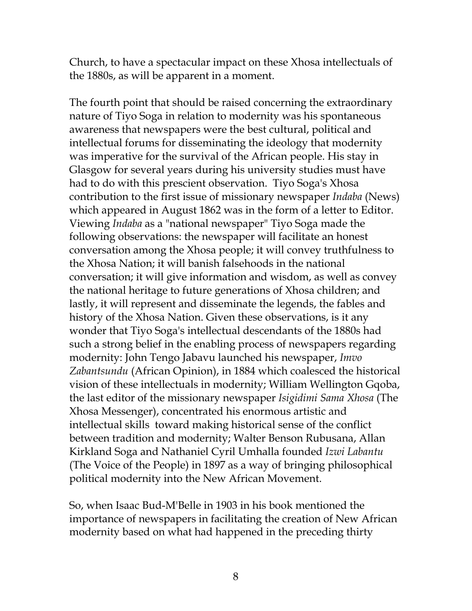Church, to have a spectacular impact on these Xhosa intellectuals of the 1880s, as will be apparent in a moment.

The fourth point that should be raised concerning the extraordinary nature of Tiyo Soga in relation to modernity was his spontaneous awareness that newspapers were the best cultural, political and intellectual forums for disseminating the ideology that modernity was imperative for the survival of the African people. His stay in Glasgow for several years during his university studies must have had to do with this prescient observation. Tiyo Soga's Xhosa contribution to the first issue of missionary newspaper *Indaba* (News) which appeared in August 1862 was in the form of a letter to Editor. Viewing *Indaba* as a "national newspaper" Tiyo Soga made the following observations: the newspaper will facilitate an honest conversation among the Xhosa people; it will convey truthfulness to the Xhosa Nation; it will banish falsehoods in the national conversation; it will give information and wisdom, as well as convey the national heritage to future generations of Xhosa children; and lastly, it will represent and disseminate the legends, the fables and history of the Xhosa Nation. Given these observations, is it any wonder that Tiyo Soga's intellectual descendants of the 1880s had such a strong belief in the enabling process of newspapers regarding modernity: John Tengo Jabavu launched his newspaper, *Imvo Zabantsundu* (African Opinion), in 1884 which coalesced the historical vision of these intellectuals in modernity; William Wellington Gqoba, the last editor of the missionary newspaper *Isigidimi Sama Xhosa* (The Xhosa Messenger), concentrated his enormous artistic and intellectual skills toward making historical sense of the conflict between tradition and modernity; Walter Benson Rubusana, Allan Kirkland Soga and Nathaniel Cyril Umhalla founded *Izwi Labantu* (The Voice of the People) in 1897 as a way of bringing philosophical political modernity into the New African Movement.

So, when Isaac Bud-M'Belle in 1903 in his book mentioned the importance of newspapers in facilitating the creation of New African modernity based on what had happened in the preceding thirty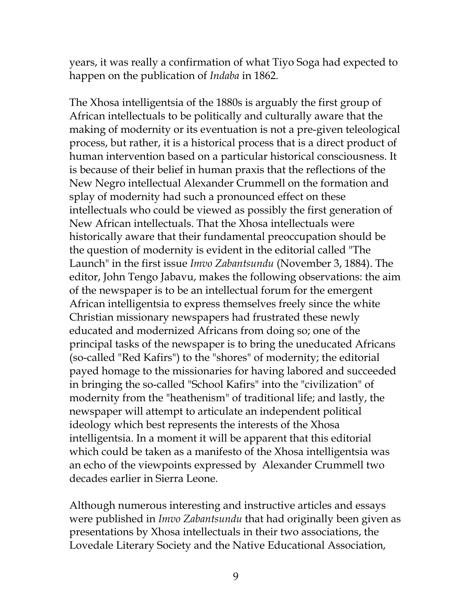years, it was really a confirmation of what Tiyo Soga had expected to happen on the publication of *Indaba* in 1862.

The Xhosa intelligentsia of the 1880s is arguably the first group of African intellectuals to be politically and culturally aware that the making of modernity or its eventuation is not a pre-given teleological process, but rather, it is a historical process that is a direct product of human intervention based on a particular historical consciousness. It is because of their belief in human praxis that the reflections of the New Negro intellectual Alexander Crummell on the formation and splay of modernity had such a pronounced effect on these intellectuals who could be viewed as possibly the first generation of New African intellectuals. That the Xhosa intellectuals were historically aware that their fundamental preoccupation should be the question of modernity is evident in the editorial called "The Launch" in the first issue *Imvo Zabantsundu* (November 3, 1884). The editor, John Tengo Jabavu, makes the following observations: the aim of the newspaper is to be an intellectual forum for the emergent African intelligentsia to express themselves freely since the white Christian missionary newspapers had frustrated these newly educated and modernized Africans from doing so; one of the principal tasks of the newspaper is to bring the uneducated Africans (so-called "Red Kafirs") to the "shores" of modernity; the editorial payed homage to the missionaries for having labored and succeeded in bringing the so-called "School Kafirs" into the "civilization" of modernity from the "heathenism" of traditional life; and lastly, the newspaper will attempt to articulate an independent political ideology which best represents the interests of the Xhosa intelligentsia. In a moment it will be apparent that this editorial which could be taken as a manifesto of the Xhosa intelligentsia was an echo of the viewpoints expressed by Alexander Crummell two decades earlier in Sierra Leone.

Although numerous interesting and instructive articles and essays were published in *Imvo Zabantsundu* that had originally been given as presentations by Xhosa intellectuals in their two associations, the Lovedale Literary Society and the Native Educational Association,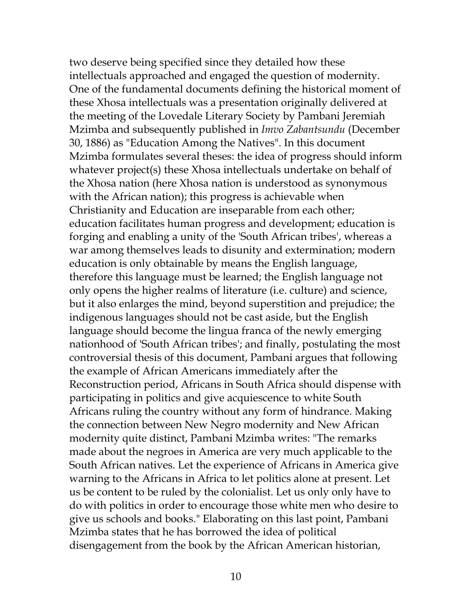two deserve being specified since they detailed how these intellectuals approached and engaged the question of modernity. One of the fundamental documents defining the historical moment of these Xhosa intellectuals was a presentation originally delivered at the meeting of the Lovedale Literary Society by Pambani Jeremiah Mzimba and subsequently published in *Imvo Zabantsundu* (December 30, 1886) as "Education Among the Natives". In this document Mzimba formulates several theses: the idea of progress should inform whatever project(s) these Xhosa intellectuals undertake on behalf of the Xhosa nation (here Xhosa nation is understood as synonymous with the African nation); this progress is achievable when Christianity and Education are inseparable from each other; education facilitates human progress and development; education is forging and enabling a unity of the 'South African tribes', whereas a war among themselves leads to disunity and extermination; modern education is only obtainable by means the English language, therefore this language must be learned; the English language not only opens the higher realms of literature (i.e. culture) and science, but it also enlarges the mind, beyond superstition and prejudice; the indigenous languages should not be cast aside, but the English language should become the lingua franca of the newly emerging nationhood of 'South African tribes'; and finally, postulating the most controversial thesis of this document, Pambani argues that following the example of African Americans immediately after the Reconstruction period, Africans in South Africa should dispense with participating in politics and give acquiescence to white South Africans ruling the country without any form of hindrance. Making the connection between New Negro modernity and New African modernity quite distinct, Pambani Mzimba writes: "The remarks made about the negroes in America are very much applicable to the South African natives. Let the experience of Africans in America give warning to the Africans in Africa to let politics alone at present. Let us be content to be ruled by the colonialist. Let us only only have to do with politics in order to encourage those white men who desire to give us schools and books." Elaborating on this last point, Pambani Mzimba states that he has borrowed the idea of political disengagement from the book by the African American historian,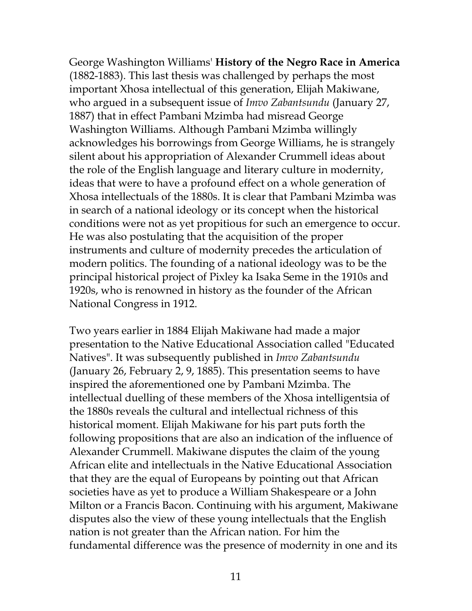George Washington Williams' **History of the Negro Race in America** (1882-1883). This last thesis was challenged by perhaps the most important Xhosa intellectual of this generation, Elijah Makiwane, who argued in a subsequent issue of *Imvo Zabantsundu* (January 27, 1887) that in effect Pambani Mzimba had misread George Washington Williams. Although Pambani Mzimba willingly acknowledges his borrowings from George Williams, he is strangely silent about his appropriation of Alexander Crummell ideas about the role of the English language and literary culture in modernity, ideas that were to have a profound effect on a whole generation of Xhosa intellectuals of the 1880s. It is clear that Pambani Mzimba was in search of a national ideology or its concept when the historical conditions were not as yet propitious for such an emergence to occur. He was also postulating that the acquisition of the proper instruments and culture of modernity precedes the articulation of modern politics. The founding of a national ideology was to be the principal historical project of Pixley ka Isaka Seme in the 1910s and 1920s, who is renowned in history as the founder of the African National Congress in 1912.

Two years earlier in 1884 Elijah Makiwane had made a major presentation to the Native Educational Association called "Educated Natives". It was subsequently published in *Imvo Zabantsundu* (January 26, February 2, 9, 1885). This presentation seems to have inspired the aforementioned one by Pambani Mzimba. The intellectual duelling of these members of the Xhosa intelligentsia of the 1880s reveals the cultural and intellectual richness of this historical moment. Elijah Makiwane for his part puts forth the following propositions that are also an indication of the influence of Alexander Crummell. Makiwane disputes the claim of the young African elite and intellectuals in the Native Educational Association that they are the equal of Europeans by pointing out that African societies have as yet to produce a William Shakespeare or a John Milton or a Francis Bacon. Continuing with his argument, Makiwane disputes also the view of these young intellectuals that the English nation is not greater than the African nation. For him the fundamental difference was the presence of modernity in one and its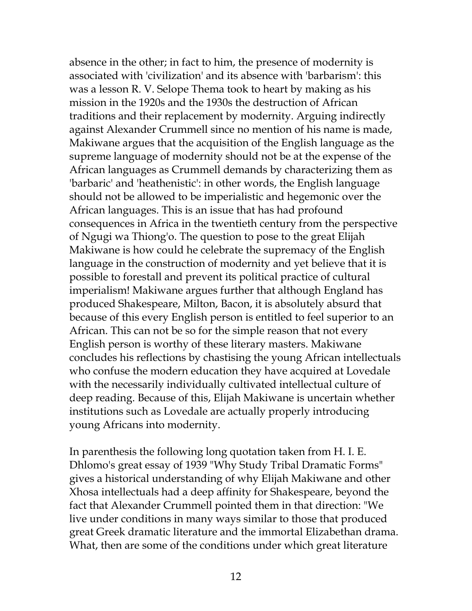absence in the other; in fact to him, the presence of modernity is associated with 'civilization' and its absence with 'barbarism': this was a lesson R. V. Selope Thema took to heart by making as his mission in the 1920s and the 1930s the destruction of African traditions and their replacement by modernity. Arguing indirectly against Alexander Crummell since no mention of his name is made, Makiwane argues that the acquisition of the English language as the supreme language of modernity should not be at the expense of the African languages as Crummell demands by characterizing them as 'barbaric' and 'heathenistic': in other words, the English language should not be allowed to be imperialistic and hegemonic over the African languages. This is an issue that has had profound consequences in Africa in the twentieth century from the perspective of Ngugi wa Thiong'o. The question to pose to the great Elijah Makiwane is how could he celebrate the supremacy of the English language in the construction of modernity and yet believe that it is possible to forestall and prevent its political practice of cultural imperialism! Makiwane argues further that although England has produced Shakespeare, Milton, Bacon, it is absolutely absurd that because of this every English person is entitled to feel superior to an African. This can not be so for the simple reason that not every English person is worthy of these literary masters. Makiwane concludes his reflections by chastising the young African intellectuals who confuse the modern education they have acquired at Lovedale with the necessarily individually cultivated intellectual culture of deep reading. Because of this, Elijah Makiwane is uncertain whether institutions such as Lovedale are actually properly introducing young Africans into modernity.

In parenthesis the following long quotation taken from H. I. E. Dhlomo's great essay of 1939 "Why Study Tribal Dramatic Forms" gives a historical understanding of why Elijah Makiwane and other Xhosa intellectuals had a deep affinity for Shakespeare, beyond the fact that Alexander Crummell pointed them in that direction: "We live under conditions in many ways similar to those that produced great Greek dramatic literature and the immortal Elizabethan drama. What, then are some of the conditions under which great literature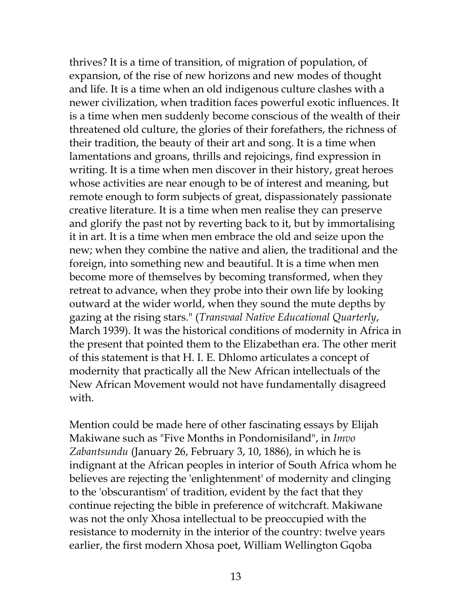thrives? It is a time of transition, of migration of population, of expansion, of the rise of new horizons and new modes of thought and life. It is a time when an old indigenous culture clashes with a newer civilization, when tradition faces powerful exotic influences. It is a time when men suddenly become conscious of the wealth of their threatened old culture, the glories of their forefathers, the richness of their tradition, the beauty of their art and song. It is a time when lamentations and groans, thrills and rejoicings, find expression in writing. It is a time when men discover in their history, great heroes whose activities are near enough to be of interest and meaning, but remote enough to form subjects of great, dispassionately passionate creative literature. It is a time when men realise they can preserve and glorify the past not by reverting back to it, but by immortalising it in art. It is a time when men embrace the old and seize upon the new; when they combine the native and alien, the traditional and the foreign, into something new and beautiful. It is a time when men become more of themselves by becoming transformed, when they retreat to advance, when they probe into their own life by looking outward at the wider world, when they sound the mute depths by gazing at the rising stars." (*Transvaal Native Educational Quarterly*, March 1939). It was the historical conditions of modernity in Africa in the present that pointed them to the Elizabethan era. The other merit of this statement is that H. I. E. Dhlomo articulates a concept of modernity that practically all the New African intellectuals of the New African Movement would not have fundamentally disagreed with.

Mention could be made here of other fascinating essays by Elijah Makiwane such as "Five Months in Pondomisiland", in *Imvo Zabantsundu* (January 26, February 3, 10, 1886), in which he is indignant at the African peoples in interior of South Africa whom he believes are rejecting the 'enlightenment' of modernity and clinging to the 'obscurantism' of tradition, evident by the fact that they continue rejecting the bible in preference of witchcraft. Makiwane was not the only Xhosa intellectual to be preoccupied with the resistance to modernity in the interior of the country: twelve years earlier, the first modern Xhosa poet, William Wellington Gqoba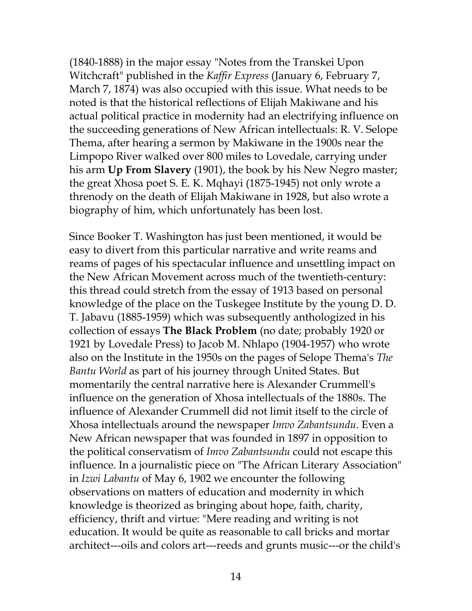(1840-1888) in the major essay "Notes from the Transkei Upon Witchcraft" published in the *Kaffir Express* (January 6, February 7, March 7, 1874) was also occupied with this issue. What needs to be noted is that the historical reflections of Elijah Makiwane and his actual political practice in modernity had an electrifying influence on the succeeding generations of New African intellectuals: R. V. Selope Thema, after hearing a sermon by Makiwane in the 1900s near the Limpopo River walked over 800 miles to Lovedale, carrying under his arm **Up From Slavery** (1901), the book by his New Negro master; the great Xhosa poet S. E. K. Mqhayi (1875-1945) not only wrote a threnody on the death of Elijah Makiwane in 1928, but also wrote a biography of him, which unfortunately has been lost.

Since Booker T. Washington has just been mentioned, it would be easy to divert from this particular narrative and write reams and reams of pages of his spectacular influence and unsettling impact on the New African Movement across much of the twentieth-century: this thread could stretch from the essay of 1913 based on personal knowledge of the place on the Tuskegee Institute by the young D. D. T. Jabavu (1885-1959) which was subsequently anthologized in his collection of essays **The Black Problem** (no date; probably 1920 or 1921 by Lovedale Press) to Jacob M. Nhlapo (1904-1957) who wrote also on the Institute in the 1950s on the pages of Selope Thema's *The Bantu World* as part of his journey through United States. But momentarily the central narrative here is Alexander Crummell's influence on the generation of Xhosa intellectuals of the 1880s. The influence of Alexander Crummell did not limit itself to the circle of Xhosa intellectuals around the newspaper *Imvo Zabantsundu*. Even a New African newspaper that was founded in 1897 in opposition to the political conservatism of *Imvo Zabantsundu* could not escape this influence. In a journalistic piece on "The African Literary Association" in *Izwi Labantu* of May 6, 1902 we encounter the following observations on matters of education and modernity in which knowledge is theorized as bringing about hope, faith, charity, efficiency, thrift and virtue: "Mere reading and writing is not education. It would be quite as reasonable to call bricks and mortar architect---oils and colors art---reeds and grunts music---or the child's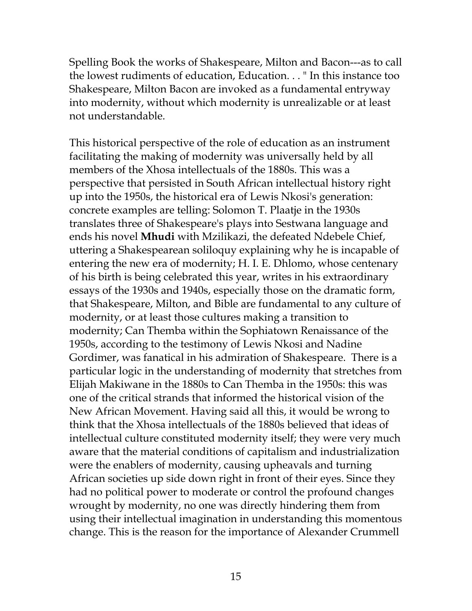Spelling Book the works of Shakespeare, Milton and Bacon---as to call the lowest rudiments of education, Education. . . " In this instance too Shakespeare, Milton Bacon are invoked as a fundamental entryway into modernity, without which modernity is unrealizable or at least not understandable.

This historical perspective of the role of education as an instrument facilitating the making of modernity was universally held by all members of the Xhosa intellectuals of the 1880s. This was a perspective that persisted in South African intellectual history right up into the 1950s, the historical era of Lewis Nkosi's generation: concrete examples are telling: Solomon T. Plaatje in the 1930s translates three of Shakespeare's plays into Sestwana language and ends his novel **Mhudi** with Mzilikazi, the defeated Ndebele Chief, uttering a Shakespearean soliloquy explaining why he is incapable of entering the new era of modernity; H. I. E. Dhlomo, whose centenary of his birth is being celebrated this year, writes in his extraordinary essays of the 1930s and 1940s, especially those on the dramatic form, that Shakespeare, Milton, and Bible are fundamental to any culture of modernity, or at least those cultures making a transition to modernity; Can Themba within the Sophiatown Renaissance of the 1950s, according to the testimony of Lewis Nkosi and Nadine Gordimer, was fanatical in his admiration of Shakespeare. There is a particular logic in the understanding of modernity that stretches from Elijah Makiwane in the 1880s to Can Themba in the 1950s: this was one of the critical strands that informed the historical vision of the New African Movement. Having said all this, it would be wrong to think that the Xhosa intellectuals of the 1880s believed that ideas of intellectual culture constituted modernity itself; they were very much aware that the material conditions of capitalism and industrialization were the enablers of modernity, causing upheavals and turning African societies up side down right in front of their eyes. Since they had no political power to moderate or control the profound changes wrought by modernity, no one was directly hindering them from using their intellectual imagination in understanding this momentous change. This is the reason for the importance of Alexander Crummell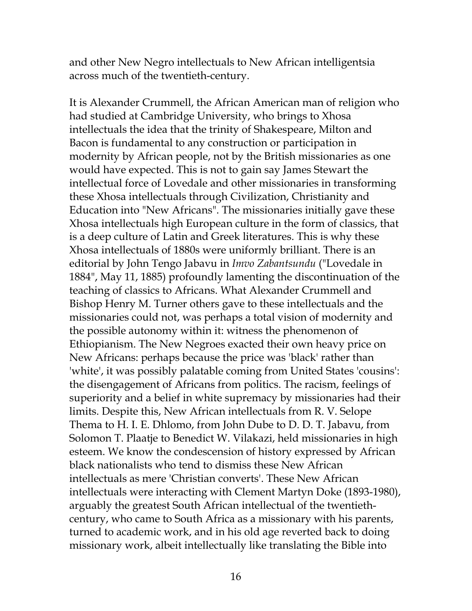and other New Negro intellectuals to New African intelligentsia across much of the twentieth-century.

It is Alexander Crummell, the African American man of religion who had studied at Cambridge University, who brings to Xhosa intellectuals the idea that the trinity of Shakespeare, Milton and Bacon is fundamental to any construction or participation in modernity by African people, not by the British missionaries as one would have expected. This is not to gain say James Stewart the intellectual force of Lovedale and other missionaries in transforming these Xhosa intellectuals through Civilization, Christianity and Education into "New Africans". The missionaries initially gave these Xhosa intellectuals high European culture in the form of classics, that is a deep culture of Latin and Greek literatures. This is why these Xhosa intellectuals of 1880s were uniformly brilliant. There is an editorial by John Tengo Jabavu in *Imvo Zabantsundu* ("Lovedale in 1884", May 11, 1885) profoundly lamenting the discontinuation of the teaching of classics to Africans. What Alexander Crummell and Bishop Henry M. Turner others gave to these intellectuals and the missionaries could not, was perhaps a total vision of modernity and the possible autonomy within it: witness the phenomenon of Ethiopianism. The New Negroes exacted their own heavy price on New Africans: perhaps because the price was 'black' rather than 'white', it was possibly palatable coming from United States 'cousins': the disengagement of Africans from politics. The racism, feelings of superiority and a belief in white supremacy by missionaries had their limits. Despite this, New African intellectuals from R. V. Selope Thema to H. I. E. Dhlomo, from John Dube to D. D. T. Jabavu, from Solomon T. Plaatje to Benedict W. Vilakazi, held missionaries in high esteem. We know the condescension of history expressed by African black nationalists who tend to dismiss these New African intellectuals as mere 'Christian converts'. These New African intellectuals were interacting with Clement Martyn Doke (1893-1980), arguably the greatest South African intellectual of the twentiethcentury, who came to South Africa as a missionary with his parents, turned to academic work, and in his old age reverted back to doing missionary work, albeit intellectually like translating the Bible into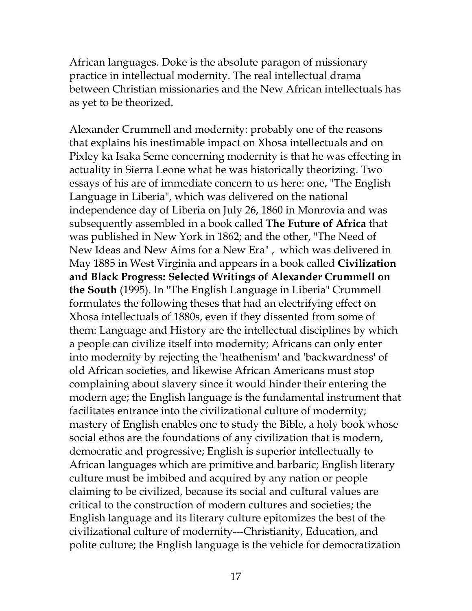African languages. Doke is the absolute paragon of missionary practice in intellectual modernity. The real intellectual drama between Christian missionaries and the New African intellectuals has as yet to be theorized.

Alexander Crummell and modernity: probably one of the reasons that explains his inestimable impact on Xhosa intellectuals and on Pixley ka Isaka Seme concerning modernity is that he was effecting in actuality in Sierra Leone what he was historically theorizing. Two essays of his are of immediate concern to us here: one, "The English Language in Liberia", which was delivered on the national independence day of Liberia on July 26, 1860 in Monrovia and was subsequently assembled in a book called **The Future of Africa** that was published in New York in 1862; and the other, "The Need of New Ideas and New Aims for a New Era" , which was delivered in May 1885 in West Virginia and appears in a book called **Civilization and Black Progress: Selected Writings of Alexander Crummell on the South** (1995). In "The English Language in Liberia" Crummell formulates the following theses that had an electrifying effect on Xhosa intellectuals of 1880s, even if they dissented from some of them: Language and History are the intellectual disciplines by which a people can civilize itself into modernity; Africans can only enter into modernity by rejecting the 'heathenism' and 'backwardness' of old African societies, and likewise African Americans must stop complaining about slavery since it would hinder their entering the modern age; the English language is the fundamental instrument that facilitates entrance into the civilizational culture of modernity; mastery of English enables one to study the Bible, a holy book whose social ethos are the foundations of any civilization that is modern, democratic and progressive; English is superior intellectually to African languages which are primitive and barbaric; English literary culture must be imbibed and acquired by any nation or people claiming to be civilized, because its social and cultural values are critical to the construction of modern cultures and societies; the English language and its literary culture epitomizes the best of the civilizational culture of modernity---Christianity, Education, and polite culture; the English language is the vehicle for democratization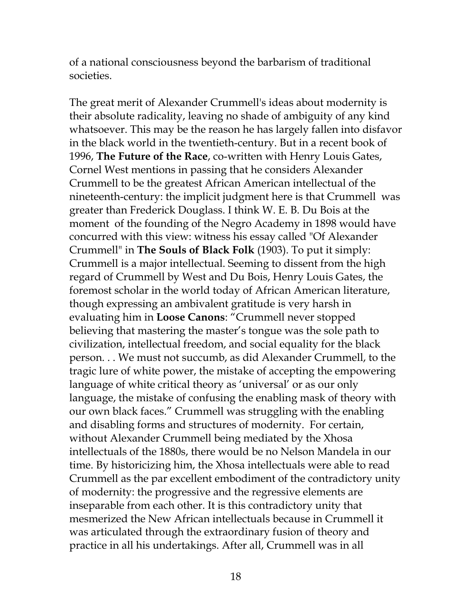of a national consciousness beyond the barbarism of traditional societies.

The great merit of Alexander Crummell's ideas about modernity is their absolute radicality, leaving no shade of ambiguity of any kind whatsoever. This may be the reason he has largely fallen into disfavor in the black world in the twentieth-century. But in a recent book of 1996, **The Future of the Race**, co-written with Henry Louis Gates, Cornel West mentions in passing that he considers Alexander Crummell to be the greatest African American intellectual of the nineteenth-century: the implicit judgment here is that Crummell was greater than Frederick Douglass. I think W. E. B. Du Bois at the moment of the founding of the Negro Academy in 1898 would have concurred with this view: witness his essay called "Of Alexander Crummell" in **The Souls of Black Folk** (1903). To put it simply: Crummell is a major intellectual. Seeming to dissent from the high regard of Crummell by West and Du Bois, Henry Louis Gates, the foremost scholar in the world today of African American literature, though expressing an ambivalent gratitude is very harsh in evaluating him in **Loose Canons**: "Crummell never stopped believing that mastering the master's tongue was the sole path to civilization, intellectual freedom, and social equality for the black person. . . We must not succumb, as did Alexander Crummell, to the tragic lure of white power, the mistake of accepting the empowering language of white critical theory as 'universal' or as our only language, the mistake of confusing the enabling mask of theory with our own black faces." Crummell was struggling with the enabling and disabling forms and structures of modernity. For certain, without Alexander Crummell being mediated by the Xhosa intellectuals of the 1880s, there would be no Nelson Mandela in our time. By historicizing him, the Xhosa intellectuals were able to read Crummell as the par excellent embodiment of the contradictory unity of modernity: the progressive and the regressive elements are inseparable from each other. It is this contradictory unity that mesmerized the New African intellectuals because in Crummell it was articulated through the extraordinary fusion of theory and practice in all his undertakings. After all, Crummell was in all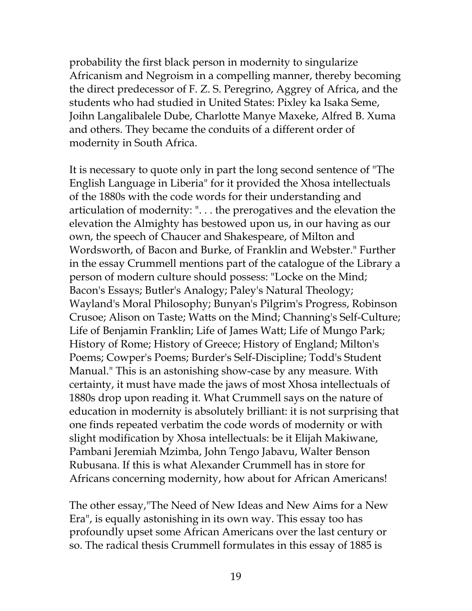probability the first black person in modernity to singularize Africanism and Negroism in a compelling manner, thereby becoming the direct predecessor of F. Z. S. Peregrino, Aggrey of Africa, and the students who had studied in United States: Pixley ka Isaka Seme, Joihn Langalibalele Dube, Charlotte Manye Maxeke, Alfred B. Xuma and others. They became the conduits of a different order of modernity in South Africa.

It is necessary to quote only in part the long second sentence of "The English Language in Liberia" for it provided the Xhosa intellectuals of the 1880s with the code words for their understanding and articulation of modernity: ". . . the prerogatives and the elevation the elevation the Almighty has bestowed upon us, in our having as our own, the speech of Chaucer and Shakespeare, of Milton and Wordsworth, of Bacon and Burke, of Franklin and Webster." Further in the essay Crummell mentions part of the catalogue of the Library a person of modern culture should possess: "Locke on the Mind; Bacon's Essays; Butler's Analogy; Paley's Natural Theology; Wayland's Moral Philosophy; Bunyan's Pilgrim's Progress, Robinson Crusoe; Alison on Taste; Watts on the Mind; Channing's Self-Culture; Life of Benjamin Franklin; Life of James Watt; Life of Mungo Park; History of Rome; History of Greece; History of England; Milton's Poems; Cowper's Poems; Burder's Self-Discipline; Todd's Student Manual." This is an astonishing show-case by any measure. With certainty, it must have made the jaws of most Xhosa intellectuals of 1880s drop upon reading it. What Crummell says on the nature of education in modernity is absolutely brilliant: it is not surprising that one finds repeated verbatim the code words of modernity or with slight modification by Xhosa intellectuals: be it Elijah Makiwane, Pambani Jeremiah Mzimba, John Tengo Jabavu, Walter Benson Rubusana. If this is what Alexander Crummell has in store for Africans concerning modernity, how about for African Americans!

The other essay,"The Need of New Ideas and New Aims for a New Era", is equally astonishing in its own way. This essay too has profoundly upset some African Americans over the last century or so. The radical thesis Crummell formulates in this essay of 1885 is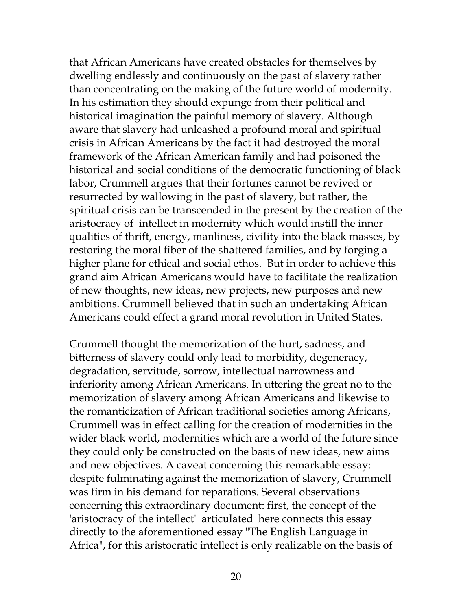that African Americans have created obstacles for themselves by dwelling endlessly and continuously on the past of slavery rather than concentrating on the making of the future world of modernity. In his estimation they should expunge from their political and historical imagination the painful memory of slavery. Although aware that slavery had unleashed a profound moral and spiritual crisis in African Americans by the fact it had destroyed the moral framework of the African American family and had poisoned the historical and social conditions of the democratic functioning of black labor, Crummell argues that their fortunes cannot be revived or resurrected by wallowing in the past of slavery, but rather, the spiritual crisis can be transcended in the present by the creation of the aristocracy of intellect in modernity which would instill the inner qualities of thrift, energy, manliness, civility into the black masses, by restoring the moral fiber of the shattered families, and by forging a higher plane for ethical and social ethos. But in order to achieve this grand aim African Americans would have to facilitate the realization of new thoughts, new ideas, new projects, new purposes and new ambitions. Crummell believed that in such an undertaking African Americans could effect a grand moral revolution in United States.

Crummell thought the memorization of the hurt, sadness, and bitterness of slavery could only lead to morbidity, degeneracy, degradation, servitude, sorrow, intellectual narrowness and inferiority among African Americans. In uttering the great no to the memorization of slavery among African Americans and likewise to the romanticization of African traditional societies among Africans, Crummell was in effect calling for the creation of modernities in the wider black world, modernities which are a world of the future since they could only be constructed on the basis of new ideas, new aims and new objectives. A caveat concerning this remarkable essay: despite fulminating against the memorization of slavery, Crummell was firm in his demand for reparations. Several observations concerning this extraordinary document: first, the concept of the 'aristocracy of the intellect' articulated here connects this essay directly to the aforementioned essay "The English Language in Africa", for this aristocratic intellect is only realizable on the basis of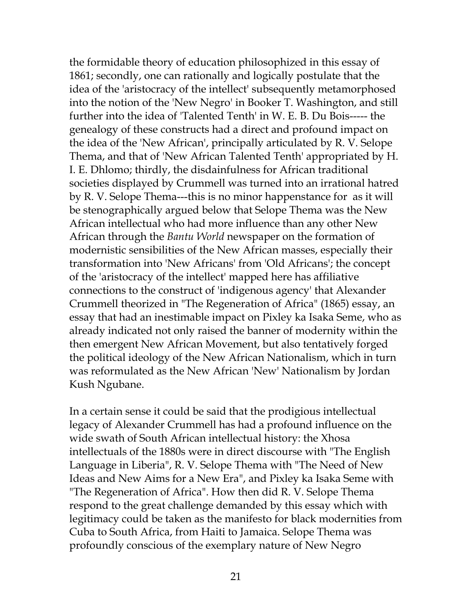the formidable theory of education philosophized in this essay of 1861; secondly, one can rationally and logically postulate that the idea of the 'aristocracy of the intellect' subsequently metamorphosed into the notion of the 'New Negro' in Booker T. Washington, and still further into the idea of 'Talented Tenth' in W. E. B. Du Bois----- the genealogy of these constructs had a direct and profound impact on the idea of the 'New African', principally articulated by R. V. Selope Thema, and that of 'New African Talented Tenth' appropriated by H. I. E. Dhlomo; thirdly, the disdainfulness for African traditional societies displayed by Crummell was turned into an irrational hatred by R. V. Selope Thema---this is no minor happenstance for as it will be stenographically argued below that Selope Thema was the New African intellectual who had more influence than any other New African through the *Bantu World* newspaper on the formation of modernistic sensibilities of the New African masses, especially their transformation into 'New Africans' from 'Old Africans'; the concept of the 'aristocracy of the intellect' mapped here has affiliative connections to the construct of 'indigenous agency' that Alexander Crummell theorized in "The Regeneration of Africa" (1865) essay, an essay that had an inestimable impact on Pixley ka Isaka Seme, who as already indicated not only raised the banner of modernity within the then emergent New African Movement, but also tentatively forged the political ideology of the New African Nationalism, which in turn was reformulated as the New African 'New' Nationalism by Jordan Kush Ngubane.

In a certain sense it could be said that the prodigious intellectual legacy of Alexander Crummell has had a profound influence on the wide swath of South African intellectual history: the Xhosa intellectuals of the 1880s were in direct discourse with "The English Language in Liberia", R. V. Selope Thema with "The Need of New Ideas and New Aims for a New Era", and Pixley ka Isaka Seme with "The Regeneration of Africa". How then did R. V. Selope Thema respond to the great challenge demanded by this essay which with legitimacy could be taken as the manifesto for black modernities from Cuba to South Africa, from Haiti to Jamaica. Selope Thema was profoundly conscious of the exemplary nature of New Negro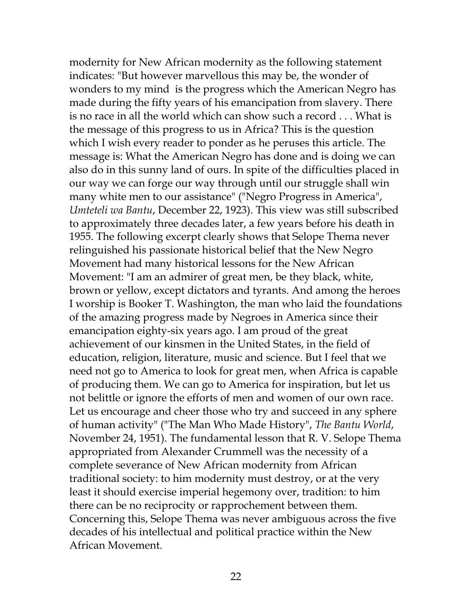modernity for New African modernity as the following statement indicates: "But however marvellous this may be, the wonder of wonders to my mind is the progress which the American Negro has made during the fifty years of his emancipation from slavery. There is no race in all the world which can show such a record . . . What is the message of this progress to us in Africa? This is the question which I wish every reader to ponder as he peruses this article. The message is: What the American Negro has done and is doing we can also do in this sunny land of ours. In spite of the difficulties placed in our way we can forge our way through until our struggle shall win many white men to our assistance" ("Negro Progress in America", *Umteteli wa Bantu*, December 22, 1923). This view was still subscribed to approximately three decades later, a few years before his death in 1955. The following excerpt clearly shows that Selope Thema never relinguished his passionate historical belief that the New Negro Movement had many historical lessons for the New African Movement: "I am an admirer of great men, be they black, white, brown or yellow, except dictators and tyrants. And among the heroes I worship is Booker T. Washington, the man who laid the foundations of the amazing progress made by Negroes in America since their emancipation eighty-six years ago. I am proud of the great achievement of our kinsmen in the United States, in the field of education, religion, literature, music and science. But I feel that we need not go to America to look for great men, when Africa is capable of producing them. We can go to America for inspiration, but let us not belittle or ignore the efforts of men and women of our own race. Let us encourage and cheer those who try and succeed in any sphere of human activity" ("The Man Who Made History", *The Bantu World*, November 24, 1951). The fundamental lesson that R. V. Selope Thema appropriated from Alexander Crummell was the necessity of a complete severance of New African modernity from African traditional society: to him modernity must destroy, or at the very least it should exercise imperial hegemony over, tradition: to him there can be no reciprocity or rapprochement between them. Concerning this, Selope Thema was never ambiguous across the five decades of his intellectual and political practice within the New African Movement.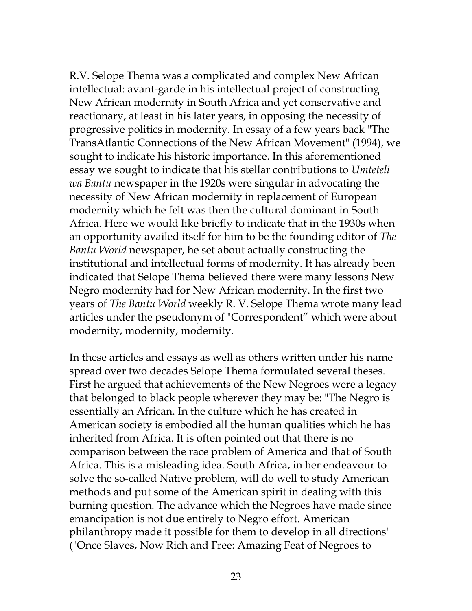R.V. Selope Thema was a complicated and complex New African intellectual: avant-garde in his intellectual project of constructing New African modernity in South Africa and yet conservative and reactionary, at least in his later years, in opposing the necessity of progressive politics in modernity. In essay of a few years back "The TransAtlantic Connections of the New African Movement" (1994), we sought to indicate his historic importance. In this aforementioned essay we sought to indicate that his stellar contributions to *Umteteli wa Bantu* newspaper in the 1920s were singular in advocating the necessity of New African modernity in replacement of European modernity which he felt was then the cultural dominant in South Africa. Here we would like briefly to indicate that in the 1930s when an opportunity availed itself for him to be the founding editor of *The Bantu World* newspaper, he set about actually constructing the institutional and intellectual forms of modernity. It has already been indicated that Selope Thema believed there were many lessons New Negro modernity had for New African modernity. In the first two years of *The Bantu World* weekly R. V. Selope Thema wrote many lead articles under the pseudonym of "Correspondent" which were about modernity, modernity, modernity.

In these articles and essays as well as others written under his name spread over two decades Selope Thema formulated several theses. First he argued that achievements of the New Negroes were a legacy that belonged to black people wherever they may be: "The Negro is essentially an African. In the culture which he has created in American society is embodied all the human qualities which he has inherited from Africa. It is often pointed out that there is no comparison between the race problem of America and that of South Africa. This is a misleading idea. South Africa, in her endeavour to solve the so-called Native problem, will do well to study American methods and put some of the American spirit in dealing with this burning question. The advance which the Negroes have made since emancipation is not due entirely to Negro effort. American philanthropy made it possible for them to develop in all directions" ("Once Slaves, Now Rich and Free: Amazing Feat of Negroes to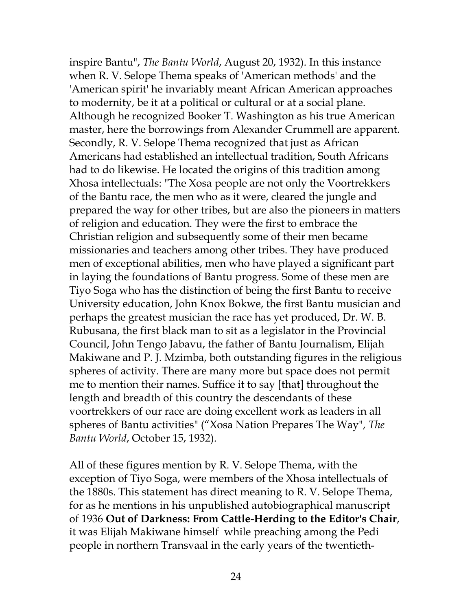inspire Bantu", *The Bantu World*, August 20, 1932). In this instance when R. V. Selope Thema speaks of 'American methods' and the 'American spirit' he invariably meant African American approaches to modernity, be it at a political or cultural or at a social plane. Although he recognized Booker T. Washington as his true American master, here the borrowings from Alexander Crummell are apparent. Secondly, R. V. Selope Thema recognized that just as African Americans had established an intellectual tradition, South Africans had to do likewise. He located the origins of this tradition among Xhosa intellectuals: "The Xosa people are not only the Voortrekkers of the Bantu race, the men who as it were, cleared the jungle and prepared the way for other tribes, but are also the pioneers in matters of religion and education. They were the first to embrace the Christian religion and subsequently some of their men became missionaries and teachers among other tribes. They have produced men of exceptional abilities, men who have played a significant part in laying the foundations of Bantu progress. Some of these men are Tiyo Soga who has the distinction of being the first Bantu to receive University education, John Knox Bokwe, the first Bantu musician and perhaps the greatest musician the race has yet produced, Dr. W. B. Rubusana, the first black man to sit as a legislator in the Provincial Council, John Tengo Jabavu, the father of Bantu Journalism, Elijah Makiwane and P. J. Mzimba, both outstanding figures in the religious spheres of activity. There are many more but space does not permit me to mention their names. Suffice it to say [that] throughout the length and breadth of this country the descendants of these voortrekkers of our race are doing excellent work as leaders in all spheres of Bantu activities" ("Xosa Nation Prepares The Way", *The Bantu World*, October 15, 1932).

All of these figures mention by R. V. Selope Thema, with the exception of Tiyo Soga, were members of the Xhosa intellectuals of the 1880s. This statement has direct meaning to R. V. Selope Thema, for as he mentions in his unpublished autobiographical manuscript of 1936 **Out of Darkness: From Cattle-Herding to the Editor's Chair**, it was Elijah Makiwane himself while preaching among the Pedi people in northern Transvaal in the early years of the twentieth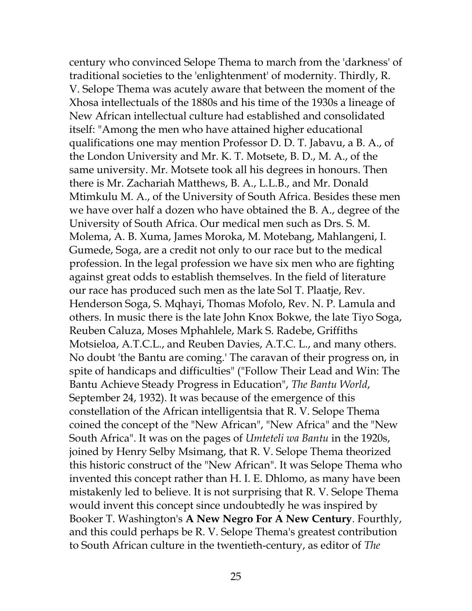century who convinced Selope Thema to march from the 'darkness' of traditional societies to the 'enlightenment' of modernity. Thirdly, R. V. Selope Thema was acutely aware that between the moment of the Xhosa intellectuals of the 1880s and his time of the 1930s a lineage of New African intellectual culture had established and consolidated itself: "Among the men who have attained higher educational qualifications one may mention Professor D. D. T. Jabavu, a B. A., of the London University and Mr. K. T. Motsete, B. D., M. A., of the same university. Mr. Motsete took all his degrees in honours. Then there is Mr. Zachariah Matthews, B. A., L.L.B., and Mr. Donald Mtimkulu M. A., of the University of South Africa. Besides these men we have over half a dozen who have obtained the B. A., degree of the University of South Africa. Our medical men such as Drs. S. M. Molema, A. B. Xuma, James Moroka, M. Motebang, Mahlangeni, I. Gumede, Soga, are a credit not only to our race but to the medical profession. In the legal profession we have six men who are fighting against great odds to establish themselves. In the field of literature our race has produced such men as the late Sol T. Plaatje, Rev. Henderson Soga, S. Mqhayi, Thomas Mofolo, Rev. N. P. Lamula and others. In music there is the late John Knox Bokwe, the late Tiyo Soga, Reuben Caluza, Moses Mphahlele, Mark S. Radebe, Griffiths Motsieloa, A.T.C.L., and Reuben Davies, A.T.C. L., and many others. No doubt 'the Bantu are coming.' The caravan of their progress on, in spite of handicaps and difficulties" ("Follow Their Lead and Win: The Bantu Achieve Steady Progress in Education", *The Bantu World*, September 24, 1932). It was because of the emergence of this constellation of the African intelligentsia that R. V. Selope Thema coined the concept of the "New African", "New Africa" and the "New South Africa". It was on the pages of *Umteteli wa Bantu* in the 1920s, joined by Henry Selby Msimang, that R. V. Selope Thema theorized this historic construct of the "New African". It was Selope Thema who invented this concept rather than H. I. E. Dhlomo, as many have been mistakenly led to believe. It is not surprising that R. V. Selope Thema would invent this concept since undoubtedly he was inspired by Booker T. Washington's **A New Negro For A New Century**. Fourthly, and this could perhaps be R. V. Selope Thema's greatest contribution to South African culture in the twentieth-century, as editor of *The*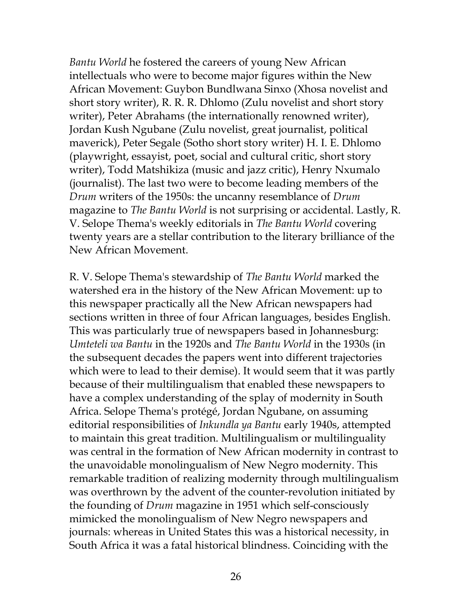*Bantu World* he fostered the careers of young New African intellectuals who were to become major figures within the New African Movement: Guybon Bundlwana Sinxo (Xhosa novelist and short story writer), R. R. R. Dhlomo (Zulu novelist and short story writer), Peter Abrahams (the internationally renowned writer), Jordan Kush Ngubane (Zulu novelist, great journalist, political maverick), Peter Segale (Sotho short story writer) H. I. E. Dhlomo (playwright, essayist, poet, social and cultural critic, short story writer), Todd Matshikiza (music and jazz critic), Henry Nxumalo (journalist). The last two were to become leading members of the *Drum* writers of the 1950s: the uncanny resemblance of *Drum* magazine to *The Bantu World* is not surprising or accidental. Lastly, R. V. Selope Thema's weekly editorials in *The Bantu World* covering twenty years are a stellar contribution to the literary brilliance of the New African Movement.

R. V. Selope Thema's stewardship of *The Bantu World* marked the watershed era in the history of the New African Movement: up to this newspaper practically all the New African newspapers had sections written in three of four African languages, besides English. This was particularly true of newspapers based in Johannesburg: *Umteteli wa Bantu* in the 1920s and *The Bantu World* in the 1930s (in the subsequent decades the papers went into different trajectories which were to lead to their demise). It would seem that it was partly because of their multilingualism that enabled these newspapers to have a complex understanding of the splay of modernity in South Africa. Selope Thema's protégé, Jordan Ngubane, on assuming editorial responsibilities of *Inkundla ya Bantu* early 1940s, attempted to maintain this great tradition. Multilingualism or multilinguality was central in the formation of New African modernity in contrast to the unavoidable monolingualism of New Negro modernity. This remarkable tradition of realizing modernity through multilingualism was overthrown by the advent of the counter-revolution initiated by the founding of *Drum* magazine in 1951 which self-consciously mimicked the monolingualism of New Negro newspapers and journals: whereas in United States this was a historical necessity, in South Africa it was a fatal historical blindness. Coinciding with the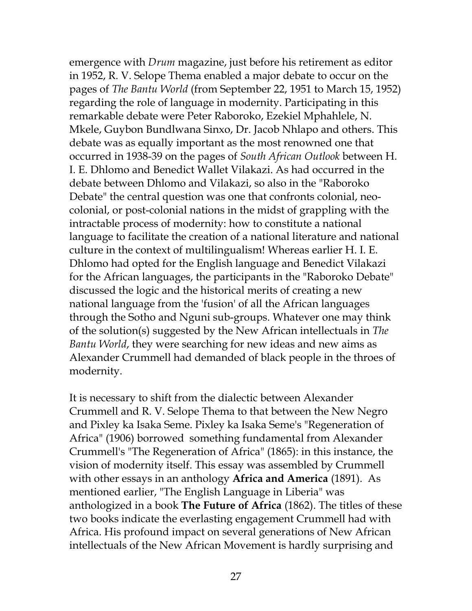emergence with *Drum* magazine, just before his retirement as editor in 1952, R. V. Selope Thema enabled a major debate to occur on the pages of *The Bantu World* (from September 22, 1951 to March 15, 1952) regarding the role of language in modernity. Participating in this remarkable debate were Peter Raboroko, Ezekiel Mphahlele, N. Mkele, Guybon Bundlwana Sinxo, Dr. Jacob Nhlapo and others. This debate was as equally important as the most renowned one that occurred in 1938-39 on the pages of *South African Outlook* between H. I. E. Dhlomo and Benedict Wallet Vilakazi. As had occurred in the debate between Dhlomo and Vilakazi, so also in the "Raboroko Debate" the central question was one that confronts colonial, neocolonial, or post-colonial nations in the midst of grappling with the intractable process of modernity: how to constitute a national language to facilitate the creation of a national literature and national culture in the context of multilingualism! Whereas earlier H. I. E. Dhlomo had opted for the English language and Benedict Vilakazi for the African languages, the participants in the "Raboroko Debate" discussed the logic and the historical merits of creating a new national language from the 'fusion' of all the African languages through the Sotho and Nguni sub-groups. Whatever one may think of the solution(s) suggested by the New African intellectuals in *The Bantu World*, they were searching for new ideas and new aims as Alexander Crummell had demanded of black people in the throes of modernity.

It is necessary to shift from the dialectic between Alexander Crummell and R. V. Selope Thema to that between the New Negro and Pixley ka Isaka Seme. Pixley ka Isaka Seme's "Regeneration of Africa" (1906) borrowed something fundamental from Alexander Crummell's "The Regeneration of Africa" (1865): in this instance, the vision of modernity itself. This essay was assembled by Crummell with other essays in an anthology **Africa and America** (1891). As mentioned earlier, "The English Language in Liberia" was anthologized in a book **The Future of Africa** (1862). The titles of these two books indicate the everlasting engagement Crummell had with Africa. His profound impact on several generations of New African intellectuals of the New African Movement is hardly surprising and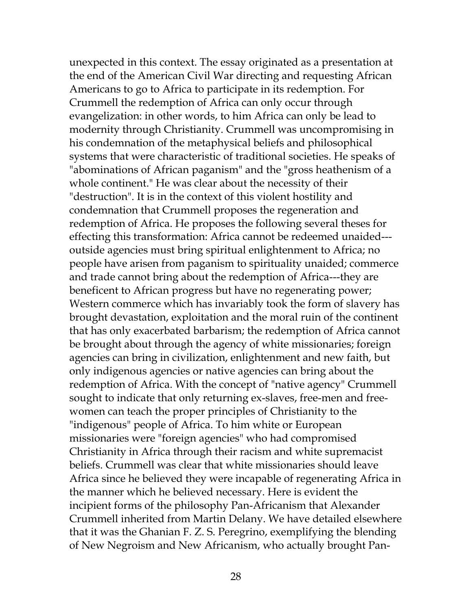unexpected in this context. The essay originated as a presentation at the end of the American Civil War directing and requesting African Americans to go to Africa to participate in its redemption. For Crummell the redemption of Africa can only occur through evangelization: in other words, to him Africa can only be lead to modernity through Christianity. Crummell was uncompromising in his condemnation of the metaphysical beliefs and philosophical systems that were characteristic of traditional societies. He speaks of "abominations of African paganism" and the "gross heathenism of a whole continent." He was clear about the necessity of their "destruction". It is in the context of this violent hostility and condemnation that Crummell proposes the regeneration and redemption of Africa. He proposes the following several theses for effecting this transformation: Africa cannot be redeemed unaided-- outside agencies must bring spiritual enlightenment to Africa; no people have arisen from paganism to spirituality unaided; commerce and trade cannot bring about the redemption of Africa---they are beneficent to African progress but have no regenerating power; Western commerce which has invariably took the form of slavery has brought devastation, exploitation and the moral ruin of the continent that has only exacerbated barbarism; the redemption of Africa cannot be brought about through the agency of white missionaries; foreign agencies can bring in civilization, enlightenment and new faith, but only indigenous agencies or native agencies can bring about the redemption of Africa. With the concept of "native agency" Crummell sought to indicate that only returning ex-slaves, free-men and freewomen can teach the proper principles of Christianity to the "indigenous" people of Africa. To him white or European missionaries were "foreign agencies" who had compromised Christianity in Africa through their racism and white supremacist beliefs. Crummell was clear that white missionaries should leave Africa since he believed they were incapable of regenerating Africa in the manner which he believed necessary. Here is evident the incipient forms of the philosophy Pan-Africanism that Alexander Crummell inherited from Martin Delany. We have detailed elsewhere that it was the Ghanian F. Z. S. Peregrino, exemplifying the blending of New Negroism and New Africanism, who actually brought Pan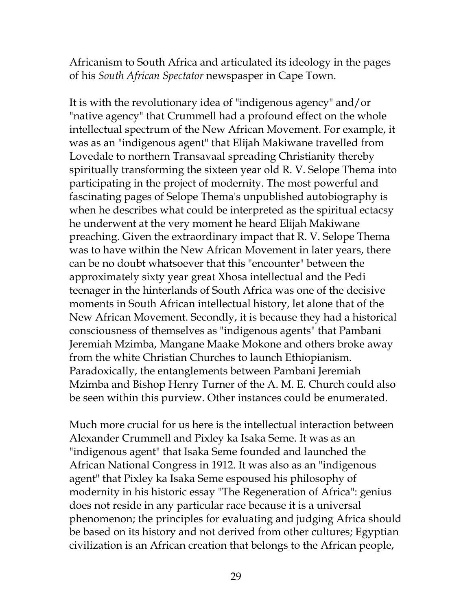Africanism to South Africa and articulated its ideology in the pages of his *South African Spectator* newspasper in Cape Town.

It is with the revolutionary idea of "indigenous agency" and/or "native agency" that Crummell had a profound effect on the whole intellectual spectrum of the New African Movement. For example, it was as an "indigenous agent" that Elijah Makiwane travelled from Lovedale to northern Transavaal spreading Christianity thereby spiritually transforming the sixteen year old R. V. Selope Thema into participating in the project of modernity. The most powerful and fascinating pages of Selope Thema's unpublished autobiography is when he describes what could be interpreted as the spiritual ectacsy he underwent at the very moment he heard Elijah Makiwane preaching. Given the extraordinary impact that R. V. Selope Thema was to have within the New African Movement in later years, there can be no doubt whatsoever that this "encounter" between the approximately sixty year great Xhosa intellectual and the Pedi teenager in the hinterlands of South Africa was one of the decisive moments in South African intellectual history, let alone that of the New African Movement. Secondly, it is because they had a historical consciousness of themselves as "indigenous agents" that Pambani Jeremiah Mzimba, Mangane Maake Mokone and others broke away from the white Christian Churches to launch Ethiopianism. Paradoxically, the entanglements between Pambani Jeremiah Mzimba and Bishop Henry Turner of the A. M. E. Church could also be seen within this purview. Other instances could be enumerated.

Much more crucial for us here is the intellectual interaction between Alexander Crummell and Pixley ka Isaka Seme. It was as an "indigenous agent" that Isaka Seme founded and launched the African National Congress in 1912. It was also as an "indigenous agent" that Pixley ka Isaka Seme espoused his philosophy of modernity in his historic essay "The Regeneration of Africa": genius does not reside in any particular race because it is a universal phenomenon; the principles for evaluating and judging Africa should be based on its history and not derived from other cultures; Egyptian civilization is an African creation that belongs to the African people,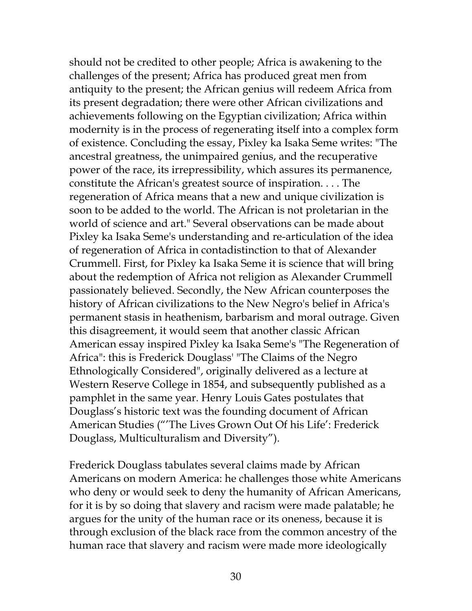should not be credited to other people; Africa is awakening to the challenges of the present; Africa has produced great men from antiquity to the present; the African genius will redeem Africa from its present degradation; there were other African civilizations and achievements following on the Egyptian civilization; Africa within modernity is in the process of regenerating itself into a complex form of existence. Concluding the essay, Pixley ka Isaka Seme writes: "The ancestral greatness, the unimpaired genius, and the recuperative power of the race, its irrepressibility, which assures its permanence, constitute the African's greatest source of inspiration. . . . The regeneration of Africa means that a new and unique civilization is soon to be added to the world. The African is not proletarian in the world of science and art." Several observations can be made about Pixley ka Isaka Seme's understanding and re-articulation of the idea of regeneration of Africa in contadistinction to that of Alexander Crummell. First, for Pixley ka Isaka Seme it is science that will bring about the redemption of Africa not religion as Alexander Crummell passionately believed. Secondly, the New African counterposes the history of African civilizations to the New Negro's belief in Africa's permanent stasis in heathenism, barbarism and moral outrage. Given this disagreement, it would seem that another classic African American essay inspired Pixley ka Isaka Seme's "The Regeneration of Africa": this is Frederick Douglass' "The Claims of the Negro Ethnologically Considered", originally delivered as a lecture at Western Reserve College in 1854, and subsequently published as a pamphlet in the same year. Henry Louis Gates postulates that Douglass's historic text was the founding document of African American Studies ("'The Lives Grown Out Of his Life': Frederick Douglass, Multiculturalism and Diversity").

Frederick Douglass tabulates several claims made by African Americans on modern America: he challenges those white Americans who deny or would seek to deny the humanity of African Americans, for it is by so doing that slavery and racism were made palatable; he argues for the unity of the human race or its oneness, because it is through exclusion of the black race from the common ancestry of the human race that slavery and racism were made more ideologically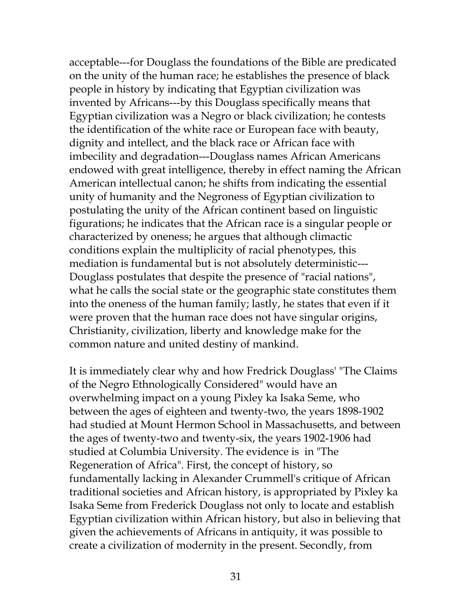acceptable---for Douglass the foundations of the Bible are predicated on the unity of the human race; he establishes the presence of black people in history by indicating that Egyptian civilization was invented by Africans---by this Douglass specifically means that Egyptian civilization was a Negro or black civilization; he contests the identification of the white race or European face with beauty, dignity and intellect, and the black race or African face with imbecility and degradation---Douglass names African Americans endowed with great intelligence, thereby in effect naming the African American intellectual canon; he shifts from indicating the essential unity of humanity and the Negroness of Egyptian civilization to postulating the unity of the African continent based on linguistic figurations; he indicates that the African race is a singular people or characterized by oneness; he argues that although climactic conditions explain the multiplicity of racial phenotypes, this mediation is fundamental but is not absolutely deterministic--- Douglass postulates that despite the presence of "racial nations", what he calls the social state or the geographic state constitutes them into the oneness of the human family; lastly, he states that even if it were proven that the human race does not have singular origins, Christianity, civilization, liberty and knowledge make for the common nature and united destiny of mankind.

It is immediately clear why and how Fredrick Douglass' "The Claims of the Negro Ethnologically Considered" would have an overwhelming impact on a young Pixley ka Isaka Seme, who between the ages of eighteen and twenty-two, the years 1898-1902 had studied at Mount Hermon School in Massachusetts, and between the ages of twenty-two and twenty-six, the years 1902-1906 had studied at Columbia University. The evidence is in "The Regeneration of Africa". First, the concept of history, so fundamentally lacking in Alexander Crummell's critique of African traditional societies and African history, is appropriated by Pixley ka Isaka Seme from Frederick Douglass not only to locate and establish Egyptian civilization within African history, but also in believing that given the achievements of Africans in antiquity, it was possible to create a civilization of modernity in the present. Secondly, from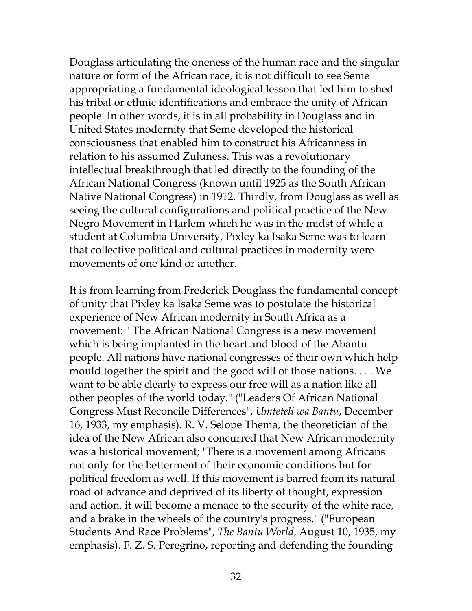Douglass articulating the oneness of the human race and the singular nature or form of the African race, it is not difficult to see Seme appropriating a fundamental ideological lesson that led him to shed his tribal or ethnic identifications and embrace the unity of African people. In other words, it is in all probability in Douglass and in United States modernity that Seme developed the historical consciousness that enabled him to construct his Africanness in relation to his assumed Zuluness. This was a revolutionary intellectual breakthrough that led directly to the founding of the African National Congress (known until 1925 as the South African Native National Congress) in 1912. Thirdly, from Douglass as well as seeing the cultural configurations and political practice of the New Negro Movement in Harlem which he was in the midst of while a student at Columbia University, Pixley ka Isaka Seme was to learn that collective political and cultural practices in modernity were movements of one kind or another.

It is from learning from Frederick Douglass the fundamental concept of unity that Pixley ka Isaka Seme was to postulate the historical experience of New African modernity in South Africa as a movement: " The African National Congress is a new movement which is being implanted in the heart and blood of the Abantu people. All nations have national congresses of their own which help mould together the spirit and the good will of those nations. . . . We want to be able clearly to express our free will as a nation like all other peoples of the world today." ("Leaders Of African National Congress Must Reconcile Differences", *Umteteli wa Bantu*, December 16, 1933, my emphasis). R. V. Selope Thema, the theoretician of the idea of the New African also concurred that New African modernity was a historical movement; "There is a movement among Africans not only for the betterment of their economic conditions but for political freedom as well. If this movement is barred from its natural road of advance and deprived of its liberty of thought, expression and action, it will become a menace to the security of the white race, and a brake in the wheels of the country's progress." ("European Students And Race Problems", *The Bantu World*, August 10, 1935, my emphasis). F. Z. S. Peregrino, reporting and defending the founding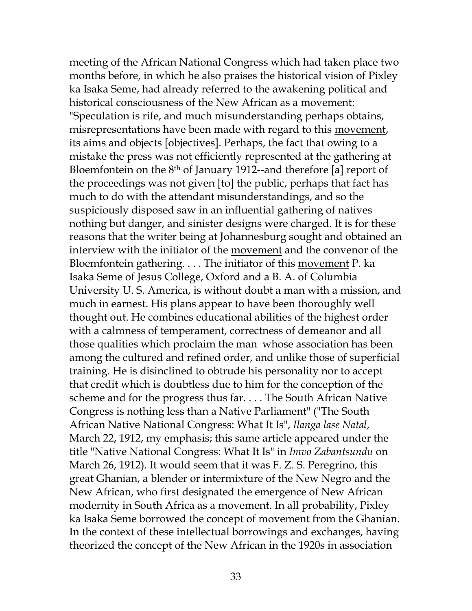meeting of the African National Congress which had taken place two months before, in which he also praises the historical vision of Pixley ka Isaka Seme, had already referred to the awakening political and historical consciousness of the New African as a movement: "Speculation is rife, and much misunderstanding perhaps obtains, misrepresentations have been made with regard to this movement, its aims and objects [objectives]. Perhaps, the fact that owing to a mistake the press was not efficiently represented at the gathering at Bloemfontein on the 8th of January 1912--and therefore [a] report of the proceedings was not given [to] the public, perhaps that fact has much to do with the attendant misunderstandings, and so the suspiciously disposed saw in an influential gathering of natives nothing but danger, and sinister designs were charged. It is for these reasons that the writer being at Johannesburg sought and obtained an interview with the initiator of the movement and the convenor of the Bloemfontein gathering. . . . The initiator of this movement P. ka Isaka Seme of Jesus College, Oxford and a B. A. of Columbia University U. S. America, is without doubt a man with a mission, and much in earnest. His plans appear to have been thoroughly well thought out. He combines educational abilities of the highest order with a calmness of temperament, correctness of demeanor and all those qualities which proclaim the man whose association has been among the cultured and refined order, and unlike those of superficial training. He is disinclined to obtrude his personality nor to accept that credit which is doubtless due to him for the conception of the scheme and for the progress thus far. . . . The South African Native Congress is nothing less than a Native Parliament" ("The South African Native National Congress: What It Is", *Ilanga lase Natal*, March 22, 1912, my emphasis; this same article appeared under the title "Native National Congress: What It Is" in *Imvo Zabantsundu* on March 26, 1912). It would seem that it was F. Z. S. Peregrino, this great Ghanian, a blender or intermixture of the New Negro and the New African, who first designated the emergence of New African modernity in South Africa as a movement. In all probability, Pixley ka Isaka Seme borrowed the concept of movement from the Ghanian. In the context of these intellectual borrowings and exchanges, having theorized the concept of the New African in the 1920s in association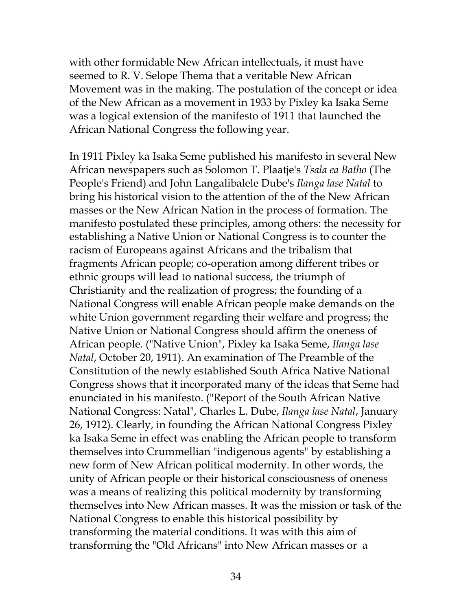with other formidable New African intellectuals, it must have seemed to R. V. Selope Thema that a veritable New African Movement was in the making. The postulation of the concept or idea of the New African as a movement in 1933 by Pixley ka Isaka Seme was a logical extension of the manifesto of 1911 that launched the African National Congress the following year.

In 1911 Pixley ka Isaka Seme published his manifesto in several New African newspapers such as Solomon T. Plaatje's *Tsala ea Batho* (The People's Friend) and John Langalibalele Dube's *Ilanga lase Natal* to bring his historical vision to the attention of the of the New African masses or the New African Nation in the process of formation. The manifesto postulated these principles, among others: the necessity for establishing a Native Union or National Congress is to counter the racism of Europeans against Africans and the tribalism that fragments African people; co-operation among different tribes or ethnic groups will lead to national success, the triumph of Christianity and the realization of progress; the founding of a National Congress will enable African people make demands on the white Union government regarding their welfare and progress; the Native Union or National Congress should affirm the oneness of African people. ("Native Union", Pixley ka Isaka Seme, *Ilanga lase Natal*, October 20, 1911). An examination of The Preamble of the Constitution of the newly established South Africa Native National Congress shows that it incorporated many of the ideas that Seme had enunciated in his manifesto. ("Report of the South African Native National Congress: Natal", Charles L. Dube, *Ilanga lase Natal*, January 26, 1912). Clearly, in founding the African National Congress Pixley ka Isaka Seme in effect was enabling the African people to transform themselves into Crummellian "indigenous agents" by establishing a new form of New African political modernity. In other words, the unity of African people or their historical consciousness of oneness was a means of realizing this political modernity by transforming themselves into New African masses. It was the mission or task of the National Congress to enable this historical possibility by transforming the material conditions. It was with this aim of transforming the "Old Africans" into New African masses or a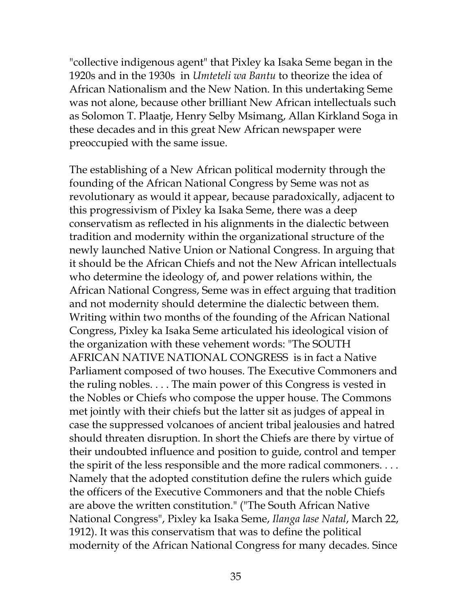"collective indigenous agent" that Pixley ka Isaka Seme began in the 1920s and in the 1930s in *Umteteli wa Bantu* to theorize the idea of African Nationalism and the New Nation. In this undertaking Seme was not alone, because other brilliant New African intellectuals such as Solomon T. Plaatje, Henry Selby Msimang, Allan Kirkland Soga in these decades and in this great New African newspaper were preoccupied with the same issue.

The establishing of a New African political modernity through the founding of the African National Congress by Seme was not as revolutionary as would it appear, because paradoxically, adjacent to this progressivism of Pixley ka Isaka Seme, there was a deep conservatism as reflected in his alignments in the dialectic between tradition and modernity within the organizational structure of the newly launched Native Union or National Congress. In arguing that it should be the African Chiefs and not the New African intellectuals who determine the ideology of, and power relations within, the African National Congress, Seme was in effect arguing that tradition and not modernity should determine the dialectic between them. Writing within two months of the founding of the African National Congress, Pixley ka Isaka Seme articulated his ideological vision of the organization with these vehement words: "The SOUTH AFRICAN NATIVE NATIONAL CONGRESS is in fact a Native Parliament composed of two houses. The Executive Commoners and the ruling nobles. . . . The main power of this Congress is vested in the Nobles or Chiefs who compose the upper house. The Commons met jointly with their chiefs but the latter sit as judges of appeal in case the suppressed volcanoes of ancient tribal jealousies and hatred should threaten disruption. In short the Chiefs are there by virtue of their undoubted influence and position to guide, control and temper the spirit of the less responsible and the more radical commoners. . . . Namely that the adopted constitution define the rulers which guide the officers of the Executive Commoners and that the noble Chiefs are above the written constitution." ("The South African Native National Congress", Pixley ka Isaka Seme, *Ilanga lase Natal*, March 22, 1912). It was this conservatism that was to define the political modernity of the African National Congress for many decades. Since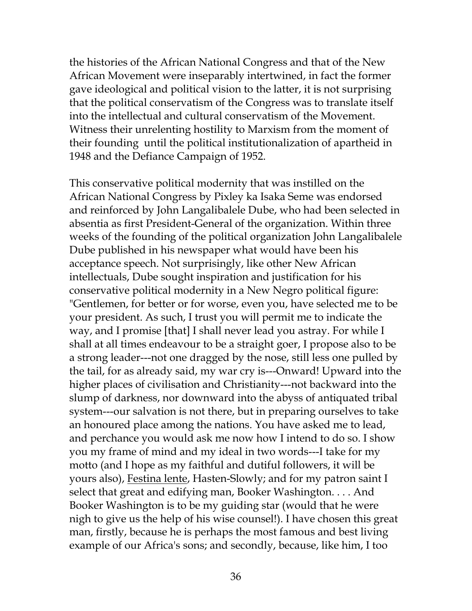the histories of the African National Congress and that of the New African Movement were inseparably intertwined, in fact the former gave ideological and political vision to the latter, it is not surprising that the political conservatism of the Congress was to translate itself into the intellectual and cultural conservatism of the Movement. Witness their unrelenting hostility to Marxism from the moment of their founding until the political institutionalization of apartheid in 1948 and the Defiance Campaign of 1952.

This conservative political modernity that was instilled on the African National Congress by Pixley ka Isaka Seme was endorsed and reinforced by John Langalibalele Dube, who had been selected in absentia as first President-General of the organization. Within three weeks of the founding of the political organization John Langalibalele Dube published in his newspaper what would have been his acceptance speech. Not surprisingly, like other New African intellectuals, Dube sought inspiration and justification for his conservative political modernity in a New Negro political figure: "Gentlemen, for better or for worse, even you, have selected me to be your president. As such, I trust you will permit me to indicate the way, and I promise [that] I shall never lead you astray. For while I shall at all times endeavour to be a straight goer, I propose also to be a strong leader---not one dragged by the nose, still less one pulled by the tail, for as already said, my war cry is---Onward! Upward into the higher places of civilisation and Christianity---not backward into the slump of darkness, nor downward into the abyss of antiquated tribal system---our salvation is not there, but in preparing ourselves to take an honoured place among the nations. You have asked me to lead, and perchance you would ask me now how I intend to do so. I show you my frame of mind and my ideal in two words---I take for my motto (and I hope as my faithful and dutiful followers, it will be yours also), <u>Festina lente</u>, Hasten-Slowly; and for my patron saint I select that great and edifying man, Booker Washington. . . . And Booker Washington is to be my guiding star (would that he were nigh to give us the help of his wise counsel!). I have chosen this great man, firstly, because he is perhaps the most famous and best living example of our Africa's sons; and secondly, because, like him, I too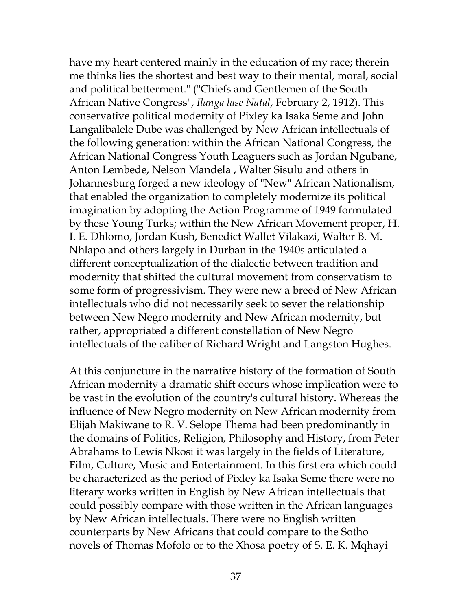have my heart centered mainly in the education of my race; therein me thinks lies the shortest and best way to their mental, moral, social and political betterment." ("Chiefs and Gentlemen of the South African Native Congress", *Ilanga lase Natal*, February 2, 1912). This conservative political modernity of Pixley ka Isaka Seme and John Langalibalele Dube was challenged by New African intellectuals of the following generation: within the African National Congress, the African National Congress Youth Leaguers such as Jordan Ngubane, Anton Lembede, Nelson Mandela , Walter Sisulu and others in Johannesburg forged a new ideology of "New" African Nationalism, that enabled the organization to completely modernize its political imagination by adopting the Action Programme of 1949 formulated by these Young Turks; within the New African Movement proper, H. I. E. Dhlomo, Jordan Kush, Benedict Wallet Vilakazi, Walter B. M. Nhlapo and others largely in Durban in the 1940s articulated a different conceptualization of the dialectic between tradition and modernity that shifted the cultural movement from conservatism to some form of progressivism. They were new a breed of New African intellectuals who did not necessarily seek to sever the relationship between New Negro modernity and New African modernity, but rather, appropriated a different constellation of New Negro intellectuals of the caliber of Richard Wright and Langston Hughes.

At this conjuncture in the narrative history of the formation of South African modernity a dramatic shift occurs whose implication were to be vast in the evolution of the country's cultural history. Whereas the influence of New Negro modernity on New African modernity from Elijah Makiwane to R. V. Selope Thema had been predominantly in the domains of Politics, Religion, Philosophy and History, from Peter Abrahams to Lewis Nkosi it was largely in the fields of Literature, Film, Culture, Music and Entertainment. In this first era which could be characterized as the period of Pixley ka Isaka Seme there were no literary works written in English by New African intellectuals that could possibly compare with those written in the African languages by New African intellectuals. There were no English written counterparts by New Africans that could compare to the Sotho novels of Thomas Mofolo or to the Xhosa poetry of S. E. K. Mqhayi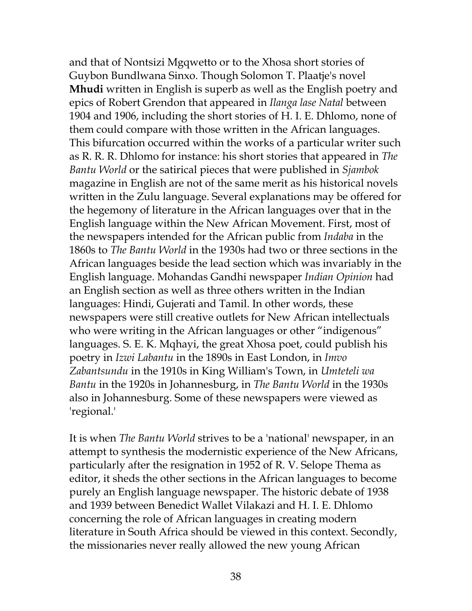and that of Nontsizi Mgqwetto or to the Xhosa short stories of Guybon Bundlwana Sinxo. Though Solomon T. Plaatje's novel **Mhudi** written in English is superb as well as the English poetry and epics of Robert Grendon that appeared in *Ilanga lase Natal* between 1904 and 1906, including the short stories of H. I. E. Dhlomo, none of them could compare with those written in the African languages. This bifurcation occurred within the works of a particular writer such as R. R. R. Dhlomo for instance: his short stories that appeared in *The Bantu World* or the satirical pieces that were published in *Sjambok* magazine in English are not of the same merit as his historical novels written in the Zulu language. Several explanations may be offered for the hegemony of literature in the African languages over that in the English language within the New African Movement. First, most of the newspapers intended for the African public from *Indaba* in the 1860s to *The Bantu World* in the 1930s had two or three sections in the African languages beside the lead section which was invariably in the English language. Mohandas Gandhi newspaper *Indian Opinion* had an English section as well as three others written in the Indian languages: Hindi, Gujerati and Tamil. In other words, these newspapers were still creative outlets for New African intellectuals who were writing in the African languages or other "indigenous" languages. S. E. K. Mqhayi, the great Xhosa poet, could publish his poetry in *Izwi Labantu* in the 1890s in East London, in *Imvo Zabantsundu* in the 1910s in King William's Town, in *Umteteli wa Bantu* in the 1920s in Johannesburg, in *The Bantu World* in the 1930s also in Johannesburg. Some of these newspapers were viewed as 'regional.'

It is when *The Bantu World* strives to be a 'national' newspaper, in an attempt to synthesis the modernistic experience of the New Africans, particularly after the resignation in 1952 of R. V. Selope Thema as editor, it sheds the other sections in the African languages to become purely an English language newspaper. The historic debate of 1938 and 1939 between Benedict Wallet Vilakazi and H. I. E. Dhlomo concerning the role of African languages in creating modern literature in South Africa should be viewed in this context. Secondly, the missionaries never really allowed the new young African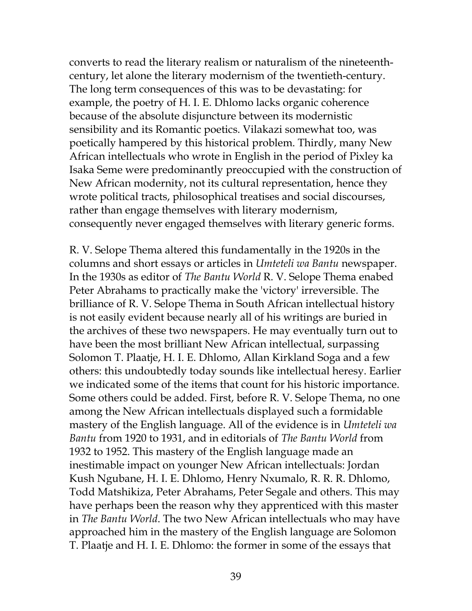converts to read the literary realism or naturalism of the nineteenthcentury, let alone the literary modernism of the twentieth-century. The long term consequences of this was to be devastating: for example, the poetry of H. I. E. Dhlomo lacks organic coherence because of the absolute disjuncture between its modernistic sensibility and its Romantic poetics. Vilakazi somewhat too, was poetically hampered by this historical problem. Thirdly, many New African intellectuals who wrote in English in the period of Pixley ka Isaka Seme were predominantly preoccupied with the construction of New African modernity, not its cultural representation, hence they wrote political tracts, philosophical treatises and social discourses, rather than engage themselves with literary modernism, consequently never engaged themselves with literary generic forms.

R. V. Selope Thema altered this fundamentally in the 1920s in the columns and short essays or articles in *Umteteli wa Bantu* newspaper. In the 1930s as editor of *The Bantu World* R. V. Selope Thema enabed Peter Abrahams to practically make the 'victory' irreversible. The brilliance of R. V. Selope Thema in South African intellectual history is not easily evident because nearly all of his writings are buried in the archives of these two newspapers. He may eventually turn out to have been the most brilliant New African intellectual, surpassing Solomon T. Plaatje, H. I. E. Dhlomo, Allan Kirkland Soga and a few others: this undoubtedly today sounds like intellectual heresy. Earlier we indicated some of the items that count for his historic importance. Some others could be added. First, before R. V. Selope Thema, no one among the New African intellectuals displayed such a formidable mastery of the English language. All of the evidence is in *Umteteli wa Bantu* from 1920 to 1931, and in editorials of *The Bantu World* from 1932 to 1952. This mastery of the English language made an inestimable impact on younger New African intellectuals: Jordan Kush Ngubane, H. I. E. Dhlomo, Henry Nxumalo, R. R. R. Dhlomo, Todd Matshikiza, Peter Abrahams, Peter Segale and others. This may have perhaps been the reason why they apprenticed with this master in *The Bantu World*. The two New African intellectuals who may have approached him in the mastery of the English language are Solomon T. Plaatje and H. I. E. Dhlomo: the former in some of the essays that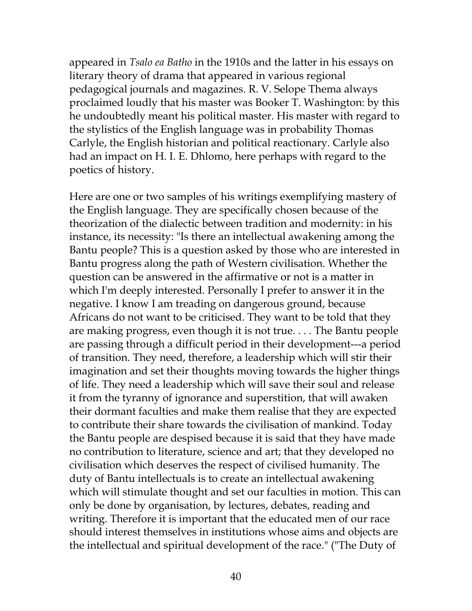appeared in *Tsalo ea Batho* in the 1910s and the latter in his essays on literary theory of drama that appeared in various regional pedagogical journals and magazines. R. V. Selope Thema always proclaimed loudly that his master was Booker T. Washington: by this he undoubtedly meant his political master. His master with regard to the stylistics of the English language was in probability Thomas Carlyle, the English historian and political reactionary. Carlyle also had an impact on H. I. E. Dhlomo, here perhaps with regard to the poetics of history.

Here are one or two samples of his writings exemplifying mastery of the English language. They are specifically chosen because of the theorization of the dialectic between tradition and modernity: in his instance, its necessity: "Is there an intellectual awakening among the Bantu people? This is a question asked by those who are interested in Bantu progress along the path of Western civilisation. Whether the question can be answered in the affirmative or not is a matter in which I'm deeply interested. Personally I prefer to answer it in the negative. I know I am treading on dangerous ground, because Africans do not want to be criticised. They want to be told that they are making progress, even though it is not true. . . . The Bantu people are passing through a difficult period in their development---a period of transition. They need, therefore, a leadership which will stir their imagination and set their thoughts moving towards the higher things of life. They need a leadership which will save their soul and release it from the tyranny of ignorance and superstition, that will awaken their dormant faculties and make them realise that they are expected to contribute their share towards the civilisation of mankind. Today the Bantu people are despised because it is said that they have made no contribution to literature, science and art; that they developed no civilisation which deserves the respect of civilised humanity. The duty of Bantu intellectuals is to create an intellectual awakening which will stimulate thought and set our faculties in motion. This can only be done by organisation, by lectures, debates, reading and writing. Therefore it is important that the educated men of our race should interest themselves in institutions whose aims and objects are the intellectual and spiritual development of the race." ("The Duty of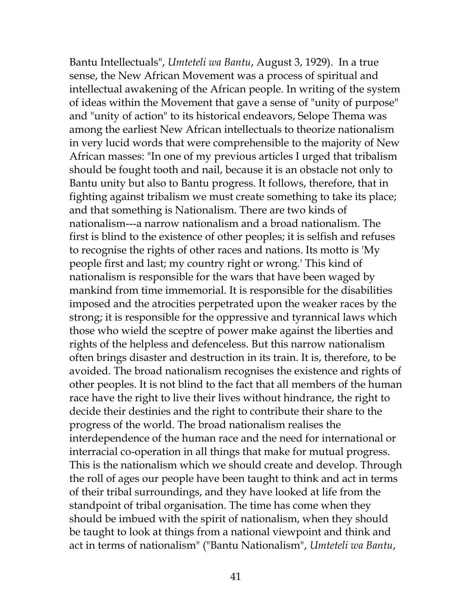Bantu Intellectuals", *Umteteli wa Bantu*, August 3, 1929). In a true sense, the New African Movement was a process of spiritual and intellectual awakening of the African people. In writing of the system of ideas within the Movement that gave a sense of "unity of purpose" and "unity of action" to its historical endeavors, Selope Thema was among the earliest New African intellectuals to theorize nationalism in very lucid words that were comprehensible to the majority of New African masses: "In one of my previous articles I urged that tribalism should be fought tooth and nail, because it is an obstacle not only to Bantu unity but also to Bantu progress. It follows, therefore, that in fighting against tribalism we must create something to take its place; and that something is Nationalism. There are two kinds of nationalism---a narrow nationalism and a broad nationalism. The first is blind to the existence of other peoples; it is selfish and refuses to recognise the rights of other races and nations. Its motto is 'My people first and last; my country right or wrong.' This kind of nationalism is responsible for the wars that have been waged by mankind from time immemorial. It is responsible for the disabilities imposed and the atrocities perpetrated upon the weaker races by the strong; it is responsible for the oppressive and tyrannical laws which those who wield the sceptre of power make against the liberties and rights of the helpless and defenceless. But this narrow nationalism often brings disaster and destruction in its train. It is, therefore, to be avoided. The broad nationalism recognises the existence and rights of other peoples. It is not blind to the fact that all members of the human race have the right to live their lives without hindrance, the right to decide their destinies and the right to contribute their share to the progress of the world. The broad nationalism realises the interdependence of the human race and the need for international or interracial co-operation in all things that make for mutual progress. This is the nationalism which we should create and develop. Through the roll of ages our people have been taught to think and act in terms of their tribal surroundings, and they have looked at life from the standpoint of tribal organisation. The time has come when they should be imbued with the spirit of nationalism, when they should be taught to look at things from a national viewpoint and think and act in terms of nationalism" ("Bantu Nationalism", *Umteteli wa Bantu*,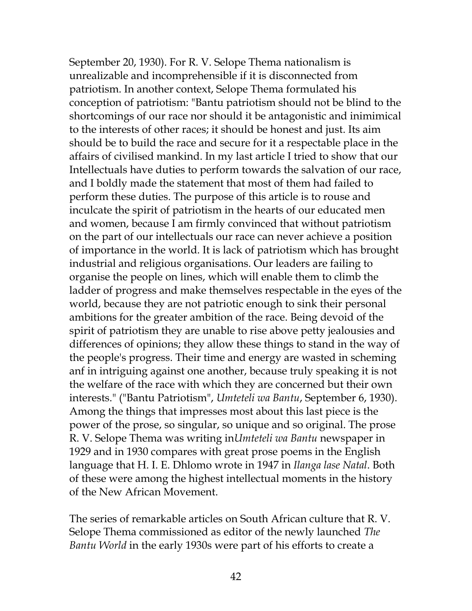September 20, 1930). For R. V. Selope Thema nationalism is unrealizable and incomprehensible if it is disconnected from patriotism. In another context, Selope Thema formulated his conception of patriotism: "Bantu patriotism should not be blind to the shortcomings of our race nor should it be antagonistic and inimimical to the interests of other races; it should be honest and just. Its aim should be to build the race and secure for it a respectable place in the affairs of civilised mankind. In my last article I tried to show that our Intellectuals have duties to perform towards the salvation of our race, and I boldly made the statement that most of them had failed to perform these duties. The purpose of this article is to rouse and inculcate the spirit of patriotism in the hearts of our educated men and women, because I am firmly convinced that without patriotism on the part of our intellectuals our race can never achieve a position of importance in the world. It is lack of patriotism which has brought industrial and religious organisations. Our leaders are failing to organise the people on lines, which will enable them to climb the ladder of progress and make themselves respectable in the eyes of the world, because they are not patriotic enough to sink their personal ambitions for the greater ambition of the race. Being devoid of the spirit of patriotism they are unable to rise above petty jealousies and differences of opinions; they allow these things to stand in the way of the people's progress. Their time and energy are wasted in scheming anf in intriguing against one another, because truly speaking it is not the welfare of the race with which they are concerned but their own interests." ("Bantu Patriotism", *Umteteli wa Bantu*, September 6, 1930). Among the things that impresses most about this last piece is the power of the prose, so singular, so unique and so original. The prose R. V. Selope Thema was writing in*Umteteli wa Bantu* newspaper in 1929 and in 1930 compares with great prose poems in the English language that H. I. E. Dhlomo wrote in 1947 in *Ilanga lase Natal*. Both of these were among the highest intellectual moments in the history of the New African Movement.

The series of remarkable articles on South African culture that R. V. Selope Thema commissioned as editor of the newly launched *The Bantu World* in the early 1930s were part of his efforts to create a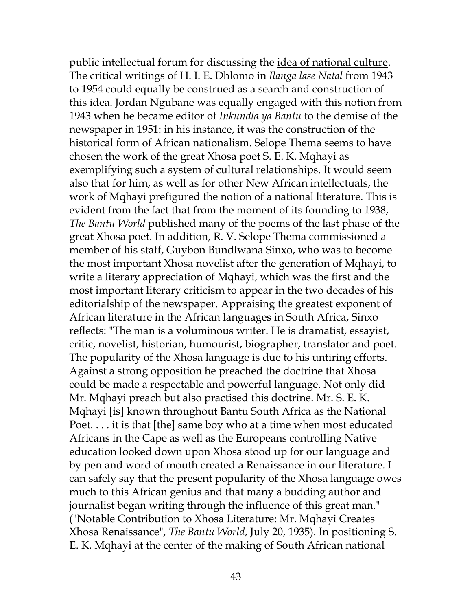public intellectual forum for discussing the idea of national culture. The critical writings of H. I. E. Dhlomo in *Ilanga lase Natal* from 1943 to 1954 could equally be construed as a search and construction of this idea. Jordan Ngubane was equally engaged with this notion from 1943 when he became editor of *Inkundla ya Bantu* to the demise of the newspaper in 1951: in his instance, it was the construction of the historical form of African nationalism. Selope Thema seems to have chosen the work of the great Xhosa poet S. E. K. Mqhayi as exemplifying such a system of cultural relationships. It would seem also that for him, as well as for other New African intellectuals, the work of Mqhayi prefigured the notion of a national literature. This is evident from the fact that from the moment of its founding to 1938, *The Bantu World* published many of the poems of the last phase of the great Xhosa poet. In addition, R. V. Selope Thema commissioned a member of his staff, Guybon Bundlwana Sinxo, who was to become the most important Xhosa novelist after the generation of Mqhayi, to write a literary appreciation of Mqhayi, which was the first and the most important literary criticism to appear in the two decades of his editorialship of the newspaper. Appraising the greatest exponent of African literature in the African languages in South Africa, Sinxo reflects: "The man is a voluminous writer. He is dramatist, essayist, critic, novelist, historian, humourist, biographer, translator and poet. The popularity of the Xhosa language is due to his untiring efforts. Against a strong opposition he preached the doctrine that Xhosa could be made a respectable and powerful language. Not only did Mr. Mqhayi preach but also practised this doctrine. Mr. S. E. K. Mqhayi [is] known throughout Bantu South Africa as the National Poet. . . . it is that [the] same boy who at a time when most educated Africans in the Cape as well as the Europeans controlling Native education looked down upon Xhosa stood up for our language and by pen and word of mouth created a Renaissance in our literature. I can safely say that the present popularity of the Xhosa language owes much to this African genius and that many a budding author and journalist began writing through the influence of this great man." ("Notable Contribution to Xhosa Literature: Mr. Mqhayi Creates Xhosa Renaissance", *The Bantu World*, July 20, 1935). In positioning S. E. K. Mqhayi at the center of the making of South African national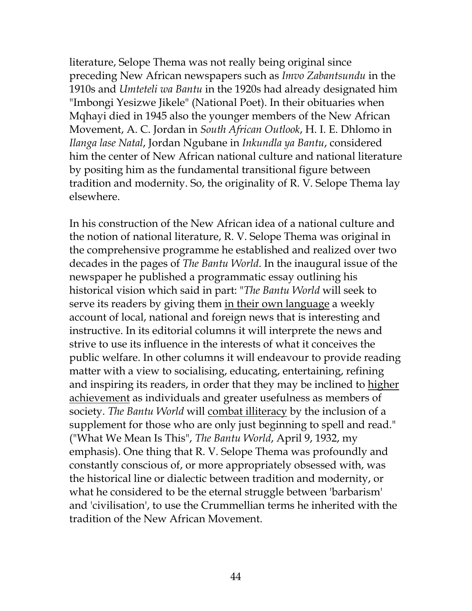literature, Selope Thema was not really being original since preceding New African newspapers such as *Imvo Zabantsundu* in the 1910s and *Umteteli wa Bantu* in the 1920s had already designated him "Imbongi Yesizwe Jikele" (National Poet). In their obituaries when Mqhayi died in 1945 also the younger members of the New African Movement, A. C. Jordan in *South African Outlook*, H. I. E. Dhlomo in *Ilanga lase Natal*, Jordan Ngubane in *Inkundla ya Bantu*, considered him the center of New African national culture and national literature by positing him as the fundamental transitional figure between tradition and modernity. So, the originality of R. V. Selope Thema lay elsewhere.

In his construction of the New African idea of a national culture and the notion of national literature, R. V. Selope Thema was original in the comprehensive programme he established and realized over two decades in the pages of *The Bantu World*. In the inaugural issue of the newspaper he published a programmatic essay outlining his historical vision which said in part: "*The Bantu World* will seek to serve its readers by giving them in their own language a weekly account of local, national and foreign news that is interesting and instructive. In its editorial columns it will interprete the news and strive to use its influence in the interests of what it conceives the public welfare. In other columns it will endeavour to provide reading matter with a view to socialising, educating, entertaining, refining and inspiring its readers, in order that they may be inclined to higher achievement as individuals and greater usefulness as members of society. *The Bantu World* will combat illiteracy by the inclusion of a supplement for those who are only just beginning to spell and read." ("What We Mean Is This", *The Bantu World*, April 9, 1932, my emphasis). One thing that R. V. Selope Thema was profoundly and constantly conscious of, or more appropriately obsessed with, was the historical line or dialectic between tradition and modernity, or what he considered to be the eternal struggle between 'barbarism' and 'civilisation', to use the Crummellian terms he inherited with the tradition of the New African Movement.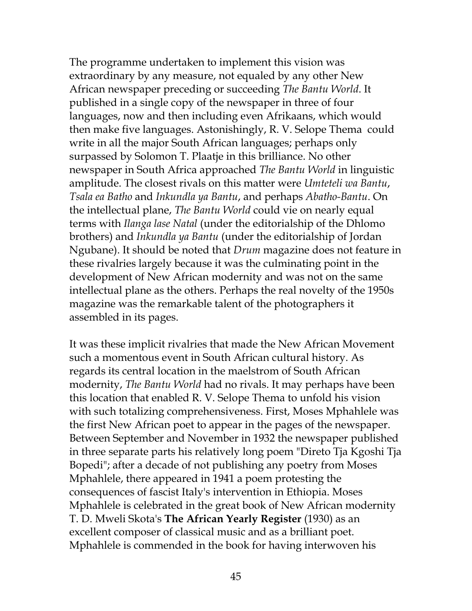The programme undertaken to implement this vision was extraordinary by any measure, not equaled by any other New African newspaper preceding or succeeding *The Bantu World*. It published in a single copy of the newspaper in three of four languages, now and then including even Afrikaans, which would then make five languages. Astonishingly, R. V. Selope Thema could write in all the major South African languages; perhaps only surpassed by Solomon T. Plaatje in this brilliance. No other newspaper in South Africa approached *The Bantu World* in linguistic amplitude. The closest rivals on this matter were *Umteteli wa Bantu*, *Tsala ea Batho* and *Inkundla ya Bantu*, and perhaps *Abatho-Bantu*. On the intellectual plane, *The Bantu World* could vie on nearly equal terms with *Ilanga lase Natal* (under the editorialship of the Dhlomo brothers) and *Inkundla ya Bantu* (under the editorialship of Jordan Ngubane). It should be noted that *Drum* magazine does not feature in these rivalries largely because it was the culminating point in the development of New African modernity and was not on the same intellectual plane as the others. Perhaps the real novelty of the 1950s magazine was the remarkable talent of the photographers it assembled in its pages.

It was these implicit rivalries that made the New African Movement such a momentous event in South African cultural history. As regards its central location in the maelstrom of South African modernity, *The Bantu World* had no rivals. It may perhaps have been this location that enabled R. V. Selope Thema to unfold his vision with such totalizing comprehensiveness. First, Moses Mphahlele was the first New African poet to appear in the pages of the newspaper. Between September and November in 1932 the newspaper published in three separate parts his relatively long poem "Direto Tja Kgoshi Tja Bopedi"; after a decade of not publishing any poetry from Moses Mphahlele, there appeared in 1941 a poem protesting the consequences of fascist Italy's intervention in Ethiopia. Moses Mphahlele is celebrated in the great book of New African modernity T. D. Mweli Skota's **The African Yearly Register** (1930) as an excellent composer of classical music and as a brilliant poet. Mphahlele is commended in the book for having interwoven his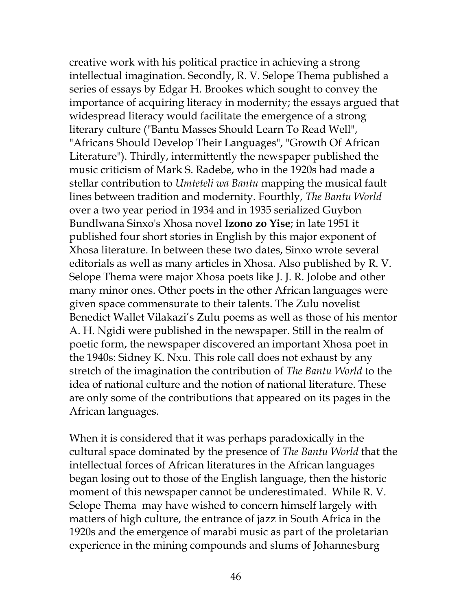creative work with his political practice in achieving a strong intellectual imagination. Secondly, R. V. Selope Thema published a series of essays by Edgar H. Brookes which sought to convey the importance of acquiring literacy in modernity; the essays argued that widespread literacy would facilitate the emergence of a strong literary culture ("Bantu Masses Should Learn To Read Well", "Africans Should Develop Their Languages", "Growth Of African Literature"). Thirdly, intermittently the newspaper published the music criticism of Mark S. Radebe, who in the 1920s had made a stellar contribution to *Umteteli wa Bantu* mapping the musical fault lines between tradition and modernity. Fourthly, *The Bantu World* over a two year period in 1934 and in 1935 serialized Guybon Bundlwana Sinxo's Xhosa novel **Izono zo Yise**; in late 1951 it published four short stories in English by this major exponent of Xhosa literature. In between these two dates, Sinxo wrote several editorials as well as many articles in Xhosa. Also published by R. V. Selope Thema were major Xhosa poets like J. J. R. Jolobe and other many minor ones. Other poets in the other African languages were given space commensurate to their talents. The Zulu novelist Benedict Wallet Vilakazi's Zulu poems as well as those of his mentor A. H. Ngidi were published in the newspaper. Still in the realm of poetic form, the newspaper discovered an important Xhosa poet in the 1940s: Sidney K. Nxu. This role call does not exhaust by any stretch of the imagination the contribution of *The Bantu World* to the idea of national culture and the notion of national literature. These are only some of the contributions that appeared on its pages in the African languages.

When it is considered that it was perhaps paradoxically in the cultural space dominated by the presence of *The Bantu World* that the intellectual forces of African literatures in the African languages began losing out to those of the English language, then the historic moment of this newspaper cannot be underestimated. While R. V. Selope Thema may have wished to concern himself largely with matters of high culture, the entrance of jazz in South Africa in the 1920s and the emergence of marabi music as part of the proletarian experience in the mining compounds and slums of Johannesburg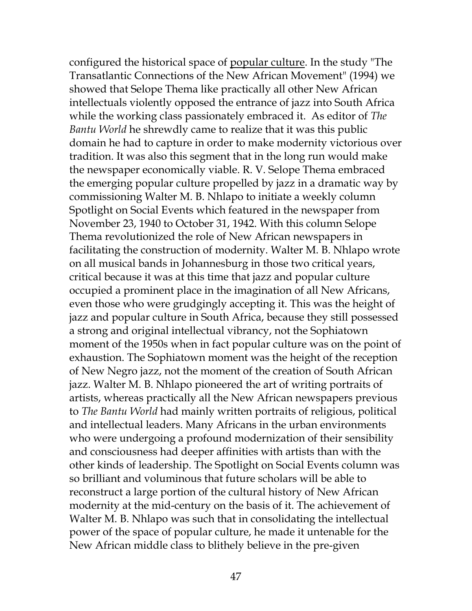configured the historical space of popular culture. In the study "The Transatlantic Connections of the New African Movement" (1994) we showed that Selope Thema like practically all other New African intellectuals violently opposed the entrance of jazz into South Africa while the working class passionately embraced it. As editor of *The Bantu World* he shrewdly came to realize that it was this public domain he had to capture in order to make modernity victorious over tradition. It was also this segment that in the long run would make the newspaper economically viable. R. V. Selope Thema embraced the emerging popular culture propelled by jazz in a dramatic way by commissioning Walter M. B. Nhlapo to initiate a weekly column Spotlight on Social Events which featured in the newspaper from November 23, 1940 to October 31, 1942. With this column Selope Thema revolutionized the role of New African newspapers in facilitating the construction of modernity. Walter M. B. Nhlapo wrote on all musical bands in Johannesburg in those two critical years, critical because it was at this time that jazz and popular culture occupied a prominent place in the imagination of all New Africans, even those who were grudgingly accepting it. This was the height of jazz and popular culture in South Africa, because they still possessed a strong and original intellectual vibrancy, not the Sophiatown moment of the 1950s when in fact popular culture was on the point of exhaustion. The Sophiatown moment was the height of the reception of New Negro jazz, not the moment of the creation of South African jazz. Walter M. B. Nhlapo pioneered the art of writing portraits of artists, whereas practically all the New African newspapers previous to *The Bantu World* had mainly written portraits of religious, political and intellectual leaders. Many Africans in the urban environments who were undergoing a profound modernization of their sensibility and consciousness had deeper affinities with artists than with the other kinds of leadership. The Spotlight on Social Events column was so brilliant and voluminous that future scholars will be able to reconstruct a large portion of the cultural history of New African modernity at the mid-century on the basis of it. The achievement of Walter M. B. Nhlapo was such that in consolidating the intellectual power of the space of popular culture, he made it untenable for the New African middle class to blithely believe in the pre-given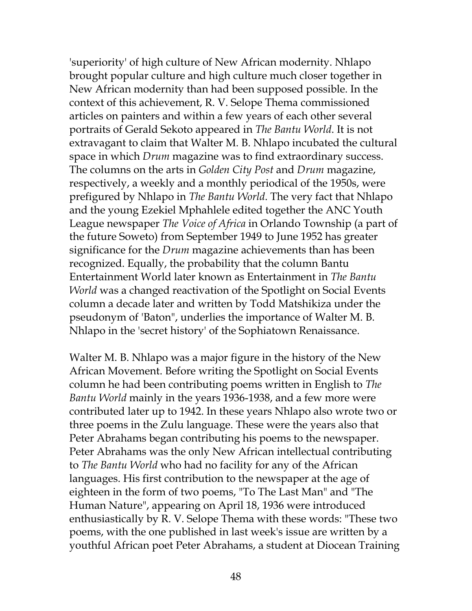'superiority' of high culture of New African modernity. Nhlapo brought popular culture and high culture much closer together in New African modernity than had been supposed possible. In the context of this achievement, R. V. Selope Thema commissioned articles on painters and within a few years of each other several portraits of Gerald Sekoto appeared in *The Bantu World*. It is not extravagant to claim that Walter M. B. Nhlapo incubated the cultural space in which *Drum* magazine was to find extraordinary success. The columns on the arts in *Golden City Post* and *Drum* magazine, respectively, a weekly and a monthly periodical of the 1950s, were prefigured by Nhlapo in *The Bantu World*. The very fact that Nhlapo and the young Ezekiel Mphahlele edited together the ANC Youth League newspaper *The Voice of Africa* in Orlando Township (a part of the future Soweto) from September 1949 to June 1952 has greater significance for the *Drum* magazine achievements than has been recognized. Equally, the probability that the column Bantu Entertainment World later known as Entertainment in *The Bantu World* was a changed reactivation of the Spotlight on Social Events column a decade later and written by Todd Matshikiza under the pseudonym of 'Baton", underlies the importance of Walter M. B. Nhlapo in the 'secret history' of the Sophiatown Renaissance.

Walter M. B. Nhlapo was a major figure in the history of the New African Movement. Before writing the Spotlight on Social Events column he had been contributing poems written in English to *The Bantu World* mainly in the years 1936-1938, and a few more were contributed later up to 1942. In these years Nhlapo also wrote two or three poems in the Zulu language. These were the years also that Peter Abrahams began contributing his poems to the newspaper. Peter Abrahams was the only New African intellectual contributing to *The Bantu World* who had no facility for any of the African languages. His first contribution to the newspaper at the age of eighteen in the form of two poems, "To The Last Man" and "The Human Nature", appearing on April 18, 1936 were introduced enthusiastically by R. V. Selope Thema with these words: "These two poems, with the one published in last week's issue are written by a youthful African poet Peter Abrahams, a student at Diocean Training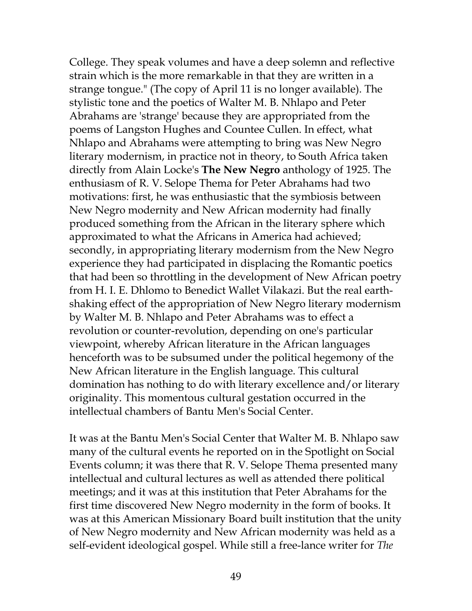College. They speak volumes and have a deep solemn and reflective strain which is the more remarkable in that they are written in a strange tongue." (The copy of April 11 is no longer available). The stylistic tone and the poetics of Walter M. B. Nhlapo and Peter Abrahams are 'strange' because they are appropriated from the poems of Langston Hughes and Countee Cullen. In effect, what Nhlapo and Abrahams were attempting to bring was New Negro literary modernism, in practice not in theory, to South Africa taken directly from Alain Locke's **The New Negro** anthology of 1925. The enthusiasm of R. V. Selope Thema for Peter Abrahams had two motivations: first, he was enthusiastic that the symbiosis between New Negro modernity and New African modernity had finally produced something from the African in the literary sphere which approximated to what the Africans in America had achieved; secondly, in appropriating literary modernism from the New Negro experience they had participated in displacing the Romantic poetics that had been so throttling in the development of New African poetry from H. I. E. Dhlomo to Benedict Wallet Vilakazi. But the real earthshaking effect of the appropriation of New Negro literary modernism by Walter M. B. Nhlapo and Peter Abrahams was to effect a revolution or counter-revolution, depending on one's particular viewpoint, whereby African literature in the African languages henceforth was to be subsumed under the political hegemony of the New African literature in the English language. This cultural domination has nothing to do with literary excellence and/or literary originality. This momentous cultural gestation occurred in the intellectual chambers of Bantu Men's Social Center.

It was at the Bantu Men's Social Center that Walter M. B. Nhlapo saw many of the cultural events he reported on in the Spotlight on Social Events column; it was there that R. V. Selope Thema presented many intellectual and cultural lectures as well as attended there political meetings; and it was at this institution that Peter Abrahams for the first time discovered New Negro modernity in the form of books. It was at this American Missionary Board built institution that the unity of New Negro modernity and New African modernity was held as a self-evident ideological gospel. While still a free-lance writer for *The*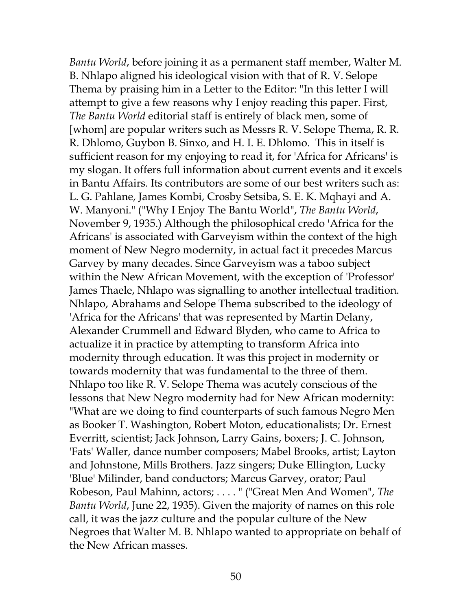*Bantu World*, before joining it as a permanent staff member, Walter M. B. Nhlapo aligned his ideological vision with that of R. V. Selope Thema by praising him in a Letter to the Editor: "In this letter I will attempt to give a few reasons why I enjoy reading this paper. First, *The Bantu World* editorial staff is entirely of black men, some of [whom] are popular writers such as Messrs R. V. Selope Thema, R. R. R. Dhlomo, Guybon B. Sinxo, and H. I. E. Dhlomo. This in itself is sufficient reason for my enjoying to read it, for 'Africa for Africans' is my slogan. It offers full information about current events and it excels in Bantu Affairs. Its contributors are some of our best writers such as: L. G. Pahlane, James Kombi, Crosby Setsiba, S. E. K. Mqhayi and A. W. Manyoni." ("Why I Enjoy The Bantu World", *The Bantu World*, November 9, 1935.) Although the philosophical credo 'Africa for the Africans' is associated with Garveyism within the context of the high moment of New Negro modernity, in actual fact it precedes Marcus Garvey by many decades. Since Garveyism was a taboo subject within the New African Movement, with the exception of 'Professor' James Thaele, Nhlapo was signalling to another intellectual tradition. Nhlapo, Abrahams and Selope Thema subscribed to the ideology of 'Africa for the Africans' that was represented by Martin Delany, Alexander Crummell and Edward Blyden, who came to Africa to actualize it in practice by attempting to transform Africa into modernity through education. It was this project in modernity or towards modernity that was fundamental to the three of them. Nhlapo too like R. V. Selope Thema was acutely conscious of the lessons that New Negro modernity had for New African modernity: "What are we doing to find counterparts of such famous Negro Men as Booker T. Washington, Robert Moton, educationalists; Dr. Ernest Everritt, scientist; Jack Johnson, Larry Gains, boxers; J. C. Johnson, 'Fats' Waller, dance number composers; Mabel Brooks, artist; Layton and Johnstone, Mills Brothers. Jazz singers; Duke Ellington, Lucky 'Blue' Milinder, band conductors; Marcus Garvey, orator; Paul Robeson, Paul Mahinn, actors; . . . . " ("Great Men And Women", *The Bantu World*, June 22, 1935). Given the majority of names on this role call, it was the jazz culture and the popular culture of the New Negroes that Walter M. B. Nhlapo wanted to appropriate on behalf of the New African masses.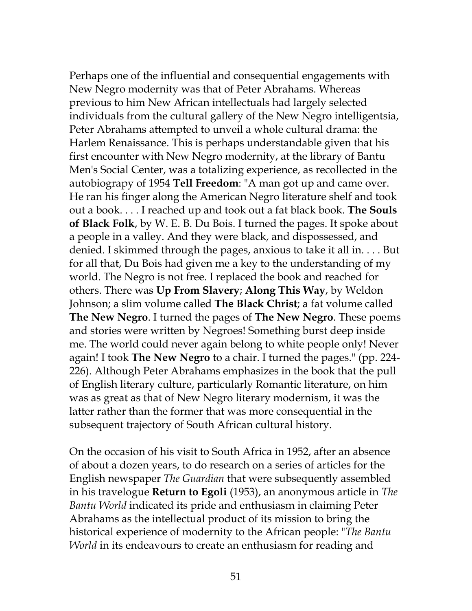Perhaps one of the influential and consequential engagements with New Negro modernity was that of Peter Abrahams. Whereas previous to him New African intellectuals had largely selected individuals from the cultural gallery of the New Negro intelligentsia, Peter Abrahams attempted to unveil a whole cultural drama: the Harlem Renaissance. This is perhaps understandable given that his first encounter with New Negro modernity, at the library of Bantu Men's Social Center, was a totalizing experience, as recollected in the autobiograpy of 1954 **Tell Freedom**: "A man got up and came over. He ran his finger along the American Negro literature shelf and took out a book. . . . I reached up and took out a fat black book. **The Souls of Black Folk**, by W. E. B. Du Bois. I turned the pages. It spoke about a people in a valley. And they were black, and dispossessed, and denied. I skimmed through the pages, anxious to take it all in. . . . But for all that, Du Bois had given me a key to the understanding of my world. The Negro is not free. I replaced the book and reached for others. There was **Up From Slavery**; **Along This Way**, by Weldon Johnson; a slim volume called **The Black Christ**; a fat volume called **The New Negro**. I turned the pages of **The New Negro**. These poems and stories were written by Negroes! Something burst deep inside me. The world could never again belong to white people only! Never again! I took **The New Negro** to a chair. I turned the pages." (pp. 224- 226). Although Peter Abrahams emphasizes in the book that the pull of English literary culture, particularly Romantic literature, on him was as great as that of New Negro literary modernism, it was the latter rather than the former that was more consequential in the subsequent trajectory of South African cultural history.

On the occasion of his visit to South Africa in 1952, after an absence of about a dozen years, to do research on a series of articles for the English newspaper *The Guardian* that were subsequently assembled in his travelogue **Return to Egoli** (1953), an anonymous article in *The Bantu World* indicated its pride and enthusiasm in claiming Peter Abrahams as the intellectual product of its mission to bring the historical experience of modernity to the African people: "*The Bantu World* in its endeavours to create an enthusiasm for reading and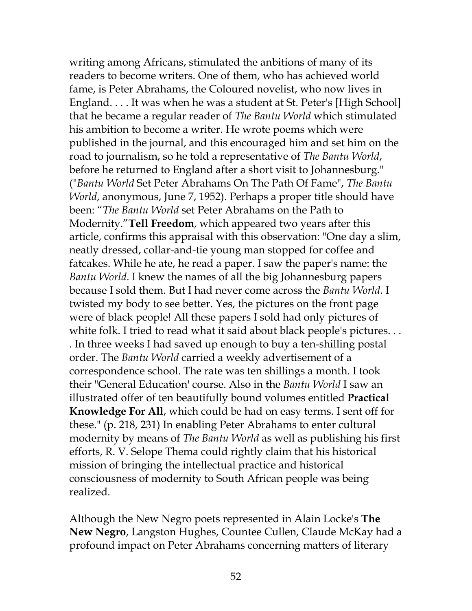writing among Africans, stimulated the anbitions of many of its readers to become writers. One of them, who has achieved world fame, is Peter Abrahams, the Coloured novelist, who now lives in England. . . . It was when he was a student at St. Peter's [High School] that he became a regular reader of *The Bantu World* which stimulated his ambition to become a writer. He wrote poems which were published in the journal, and this encouraged him and set him on the road to journalism, so he told a representative of *The Bantu World*, before he returned to England after a short visit to Johannesburg." ("*Bantu World* Set Peter Abrahams On The Path Of Fame", *The Bantu World*, anonymous, June 7, 1952). Perhaps a proper title should have been: "*The Bantu World* set Peter Abrahams on the Path to Modernity."**Tell Freedom**, which appeared two years after this article, confirms this appraisal with this observation: "One day a slim, neatly dressed, collar-and-tie young man stopped for coffee and fatcakes. While he ate, he read a paper. I saw the paper's name: the *Bantu World*. I knew the names of all the big Johannesburg papers because I sold them. But I had never come across the *Bantu World*. I twisted my body to see better. Yes, the pictures on the front page were of black people! All these papers I sold had only pictures of white folk. I tried to read what it said about black people's pictures. . . . In three weeks I had saved up enough to buy a ten-shilling postal order. The *Bantu World* carried a weekly advertisement of a correspondence school. The rate was ten shillings a month. I took their "General Education' course. Also in the *Bantu World* I saw an illustrated offer of ten beautifully bound volumes entitled **Practical Knowledge For All**, which could be had on easy terms. I sent off for these." (p. 218, 231) In enabling Peter Abrahams to enter cultural modernity by means of *The Bantu World* as well as publishing his first efforts, R. V. Selope Thema could rightly claim that his historical mission of bringing the intellectual practice and historical consciousness of modernity to South African people was being realized.

Although the New Negro poets represented in Alain Locke's **The New Negro**, Langston Hughes, Countee Cullen, Claude McKay had a profound impact on Peter Abrahams concerning matters of literary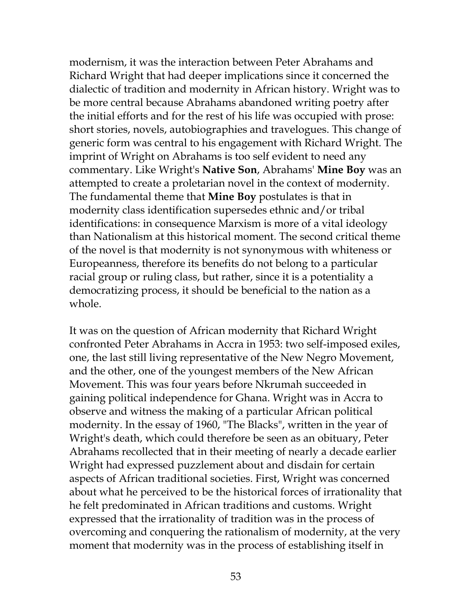modernism, it was the interaction between Peter Abrahams and Richard Wright that had deeper implications since it concerned the dialectic of tradition and modernity in African history. Wright was to be more central because Abrahams abandoned writing poetry after the initial efforts and for the rest of his life was occupied with prose: short stories, novels, autobiographies and travelogues. This change of generic form was central to his engagement with Richard Wright. The imprint of Wright on Abrahams is too self evident to need any commentary. Like Wright's **Native Son**, Abrahams' **Mine Boy** was an attempted to create a proletarian novel in the context of modernity. The fundamental theme that **Mine Boy** postulates is that in modernity class identification supersedes ethnic and/or tribal identifications: in consequence Marxism is more of a vital ideology than Nationalism at this historical moment. The second critical theme of the novel is that modernity is not synonymous with whiteness or Europeanness, therefore its benefits do not belong to a particular racial group or ruling class, but rather, since it is a potentiality a democratizing process, it should be beneficial to the nation as a whole.

It was on the question of African modernity that Richard Wright confronted Peter Abrahams in Accra in 1953: two self-imposed exiles, one, the last still living representative of the New Negro Movement, and the other, one of the youngest members of the New African Movement. This was four years before Nkrumah succeeded in gaining political independence for Ghana. Wright was in Accra to observe and witness the making of a particular African political modernity. In the essay of 1960, "The Blacks", written in the year of Wright's death, which could therefore be seen as an obituary, Peter Abrahams recollected that in their meeting of nearly a decade earlier Wright had expressed puzzlement about and disdain for certain aspects of African traditional societies. First, Wright was concerned about what he perceived to be the historical forces of irrationality that he felt predominated in African traditions and customs. Wright expressed that the irrationality of tradition was in the process of overcoming and conquering the rationalism of modernity, at the very moment that modernity was in the process of establishing itself in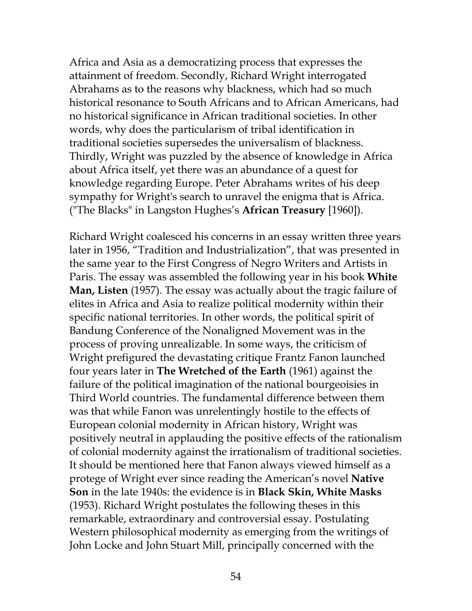Africa and Asia as a democratizing process that expresses the attainment of freedom. Secondly, Richard Wright interrogated Abrahams as to the reasons why blackness, which had so much historical resonance to South Africans and to African Americans, had no historical significance in African traditional societies. In other words, why does the particularism of tribal identification in traditional societies supersedes the universalism of blackness. Thirdly, Wright was puzzled by the absence of knowledge in Africa about Africa itself, yet there was an abundance of a quest for knowledge regarding Europe. Peter Abrahams writes of his deep sympathy for Wright's search to unravel the enigma that is Africa. ("The Blacks" in Langston Hughes's **African Treasury** [1960]).

Richard Wright coalesced his concerns in an essay written three years later in 1956, "Tradition and Industrialization", that was presented in the same year to the First Congress of Negro Writers and Artists in Paris. The essay was assembled the following year in his book **White Man, Listen** (1957). The essay was actually about the tragic failure of elites in Africa and Asia to realize political modernity within their specific national territories. In other words, the political spirit of Bandung Conference of the Nonaligned Movement was in the process of proving unrealizable. In some ways, the criticism of Wright prefigured the devastating critique Frantz Fanon launched four years later in **The Wretched of the Earth** (1961) against the failure of the political imagination of the national bourgeoisies in Third World countries. The fundamental difference between them was that while Fanon was unrelentingly hostile to the effects of European colonial modernity in African history, Wright was positively neutral in applauding the positive effects of the rationalism of colonial modernity against the irrationalism of traditional societies. It should be mentioned here that Fanon always viewed himself as a protege of Wright ever since reading the American's novel **Native Son** in the late 1940s: the evidence is in **Black Skin, White Masks** (1953). Richard Wright postulates the following theses in this remarkable, extraordinary and controversial essay. Postulating Western philosophical modernity as emerging from the writings of John Locke and John Stuart Mill, principally concerned with the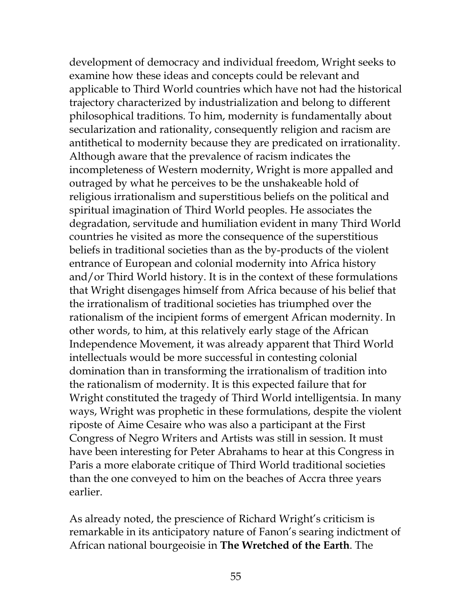development of democracy and individual freedom, Wright seeks to examine how these ideas and concepts could be relevant and applicable to Third World countries which have not had the historical trajectory characterized by industrialization and belong to different philosophical traditions. To him, modernity is fundamentally about secularization and rationality, consequently religion and racism are antithetical to modernity because they are predicated on irrationality. Although aware that the prevalence of racism indicates the incompleteness of Western modernity, Wright is more appalled and outraged by what he perceives to be the unshakeable hold of religious irrationalism and superstitious beliefs on the political and spiritual imagination of Third World peoples. He associates the degradation, servitude and humiliation evident in many Third World countries he visited as more the consequence of the superstitious beliefs in traditional societies than as the by-products of the violent entrance of European and colonial modernity into Africa history and/or Third World history. It is in the context of these formulations that Wright disengages himself from Africa because of his belief that the irrationalism of traditional societies has triumphed over the rationalism of the incipient forms of emergent African modernity. In other words, to him, at this relatively early stage of the African Independence Movement, it was already apparent that Third World intellectuals would be more successful in contesting colonial domination than in transforming the irrationalism of tradition into the rationalism of modernity. It is this expected failure that for Wright constituted the tragedy of Third World intelligentsia. In many ways, Wright was prophetic in these formulations, despite the violent riposte of Aime Cesaire who was also a participant at the First Congress of Negro Writers and Artists was still in session. It must have been interesting for Peter Abrahams to hear at this Congress in Paris a more elaborate critique of Third World traditional societies than the one conveyed to him on the beaches of Accra three years earlier.

As already noted, the prescience of Richard Wright's criticism is remarkable in its anticipatory nature of Fanon's searing indictment of African national bourgeoisie in **The Wretched of the Earth**. The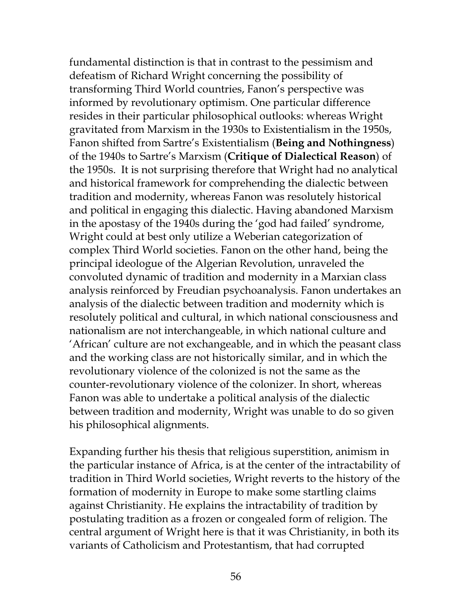fundamental distinction is that in contrast to the pessimism and defeatism of Richard Wright concerning the possibility of transforming Third World countries, Fanon's perspective was informed by revolutionary optimism. One particular difference resides in their particular philosophical outlooks: whereas Wright gravitated from Marxism in the 1930s to Existentialism in the 1950s, Fanon shifted from Sartre's Existentialism (**Being and Nothingness**) of the 1940s to Sartre's Marxism (**Critique of Dialectical Reason**) of the 1950s. It is not surprising therefore that Wright had no analytical and historical framework for comprehending the dialectic between tradition and modernity, whereas Fanon was resolutely historical and political in engaging this dialectic. Having abandoned Marxism in the apostasy of the 1940s during the 'god had failed' syndrome, Wright could at best only utilize a Weberian categorization of complex Third World societies. Fanon on the other hand, being the principal ideologue of the Algerian Revolution, unraveled the convoluted dynamic of tradition and modernity in a Marxian class analysis reinforced by Freudian psychoanalysis. Fanon undertakes an analysis of the dialectic between tradition and modernity which is resolutely political and cultural, in which national consciousness and nationalism are not interchangeable, in which national culture and 'African' culture are not exchangeable, and in which the peasant class and the working class are not historically similar, and in which the revolutionary violence of the colonized is not the same as the counter-revolutionary violence of the colonizer. In short, whereas Fanon was able to undertake a political analysis of the dialectic between tradition and modernity, Wright was unable to do so given his philosophical alignments.

Expanding further his thesis that religious superstition, animism in the particular instance of Africa, is at the center of the intractability of tradition in Third World societies, Wright reverts to the history of the formation of modernity in Europe to make some startling claims against Christianity. He explains the intractability of tradition by postulating tradition as a frozen or congealed form of religion. The central argument of Wright here is that it was Christianity, in both its variants of Catholicism and Protestantism, that had corrupted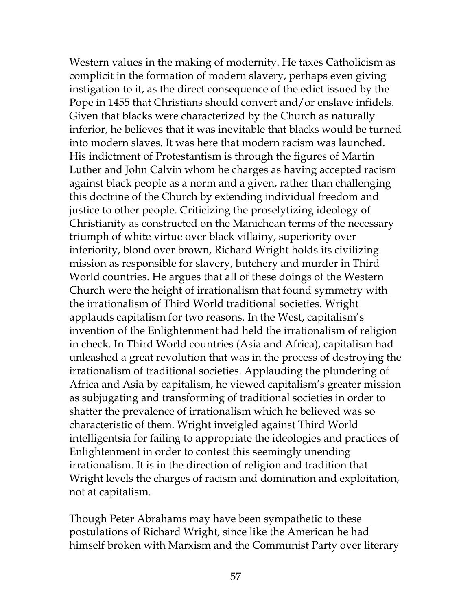Western values in the making of modernity. He taxes Catholicism as complicit in the formation of modern slavery, perhaps even giving instigation to it, as the direct consequence of the edict issued by the Pope in 1455 that Christians should convert and/or enslave infidels. Given that blacks were characterized by the Church as naturally inferior, he believes that it was inevitable that blacks would be turned into modern slaves. It was here that modern racism was launched. His indictment of Protestantism is through the figures of Martin Luther and John Calvin whom he charges as having accepted racism against black people as a norm and a given, rather than challenging this doctrine of the Church by extending individual freedom and justice to other people. Criticizing the proselytizing ideology of Christianity as constructed on the Manichean terms of the necessary triumph of white virtue over black villainy, superiority over inferiority, blond over brown, Richard Wright holds its civilizing mission as responsible for slavery, butchery and murder in Third World countries. He argues that all of these doings of the Western Church were the height of irrationalism that found symmetry with the irrationalism of Third World traditional societies. Wright applauds capitalism for two reasons. In the West, capitalism's invention of the Enlightenment had held the irrationalism of religion in check. In Third World countries (Asia and Africa), capitalism had unleashed a great revolution that was in the process of destroying the irrationalism of traditional societies. Applauding the plundering of Africa and Asia by capitalism, he viewed capitalism's greater mission as subjugating and transforming of traditional societies in order to shatter the prevalence of irrationalism which he believed was so characteristic of them. Wright inveigled against Third World intelligentsia for failing to appropriate the ideologies and practices of Enlightenment in order to contest this seemingly unending irrationalism. It is in the direction of religion and tradition that Wright levels the charges of racism and domination and exploitation, not at capitalism.

Though Peter Abrahams may have been sympathetic to these postulations of Richard Wright, since like the American he had himself broken with Marxism and the Communist Party over literary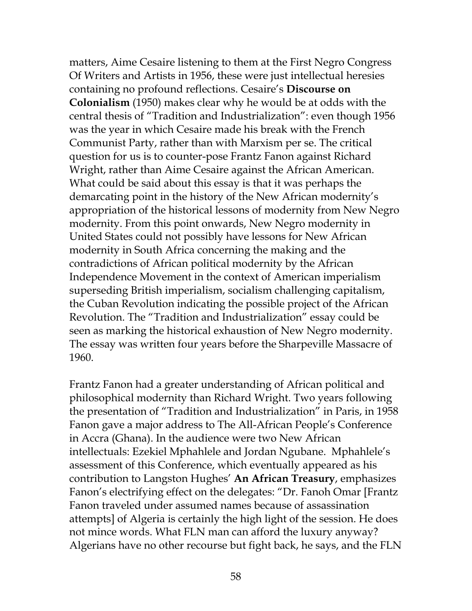matters, Aime Cesaire listening to them at the First Negro Congress Of Writers and Artists in 1956, these were just intellectual heresies containing no profound reflections. Cesaire's **Discourse on Colonialism** (1950) makes clear why he would be at odds with the central thesis of "Tradition and Industrialization": even though 1956 was the year in which Cesaire made his break with the French Communist Party, rather than with Marxism per se. The critical question for us is to counter-pose Frantz Fanon against Richard Wright, rather than Aime Cesaire against the African American. What could be said about this essay is that it was perhaps the demarcating point in the history of the New African modernity's appropriation of the historical lessons of modernity from New Negro modernity. From this point onwards, New Negro modernity in United States could not possibly have lessons for New African modernity in South Africa concerning the making and the contradictions of African political modernity by the African Independence Movement in the context of American imperialism superseding British imperialism, socialism challenging capitalism, the Cuban Revolution indicating the possible project of the African Revolution. The "Tradition and Industrialization" essay could be seen as marking the historical exhaustion of New Negro modernity. The essay was written four years before the Sharpeville Massacre of 1960.

Frantz Fanon had a greater understanding of African political and philosophical modernity than Richard Wright. Two years following the presentation of "Tradition and Industrialization" in Paris, in 1958 Fanon gave a major address to The All-African People's Conference in Accra (Ghana). In the audience were two New African intellectuals: Ezekiel Mphahlele and Jordan Ngubane. Mphahlele's assessment of this Conference, which eventually appeared as his contribution to Langston Hughes' **An African Treasury**, emphasizes Fanon's electrifying effect on the delegates: "Dr. Fanoh Omar [Frantz Fanon traveled under assumed names because of assassination attempts] of Algeria is certainly the high light of the session. He does not mince words. What FLN man can afford the luxury anyway? Algerians have no other recourse but fight back, he says, and the FLN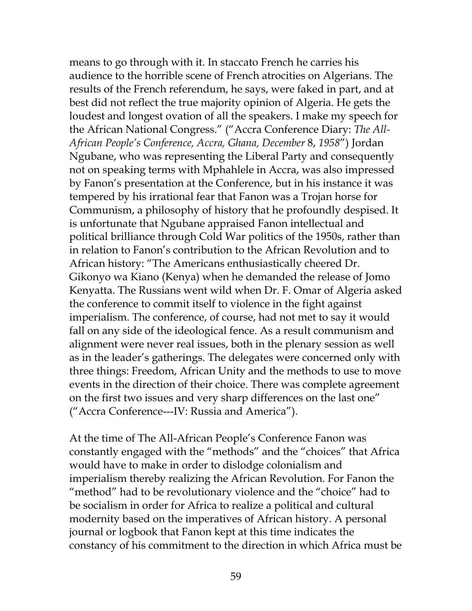means to go through with it. In staccato French he carries his audience to the horrible scene of French atrocities on Algerians. The results of the French referendum, he says, were faked in part, and at best did not reflect the true majority opinion of Algeria. He gets the loudest and longest ovation of all the speakers. I make my speech for the African National Congress." ("Accra Conference Diary: *The All-African People's Conference, Accra, Ghana, December* 8, *1958*") Jordan Ngubane, who was representing the Liberal Party and consequently not on speaking terms with Mphahlele in Accra, was also impressed by Fanon's presentation at the Conference, but in his instance it was tempered by his irrational fear that Fanon was a Trojan horse for Communism, a philosophy of history that he profoundly despised. It is unfortunate that Ngubane appraised Fanon intellectual and political brilliance through Cold War politics of the 1950s, rather than in relation to Fanon's contribution to the African Revolution and to African history: "The Americans enthusiastically cheered Dr. Gikonyo wa Kiano (Kenya) when he demanded the release of Jomo Kenyatta. The Russians went wild when Dr. F. Omar of Algeria asked the conference to commit itself to violence in the fight against imperialism. The conference, of course, had not met to say it would fall on any side of the ideological fence. As a result communism and alignment were never real issues, both in the plenary session as well as in the leader's gatherings. The delegates were concerned only with three things: Freedom, African Unity and the methods to use to move events in the direction of their choice. There was complete agreement on the first two issues and very sharp differences on the last one" ("Accra Conference---IV: Russia and America").

At the time of The All-African People's Conference Fanon was constantly engaged with the "methods" and the "choices" that Africa would have to make in order to dislodge colonialism and imperialism thereby realizing the African Revolution. For Fanon the "method" had to be revolutionary violence and the "choice" had to be socialism in order for Africa to realize a political and cultural modernity based on the imperatives of African history. A personal journal or logbook that Fanon kept at this time indicates the constancy of his commitment to the direction in which Africa must be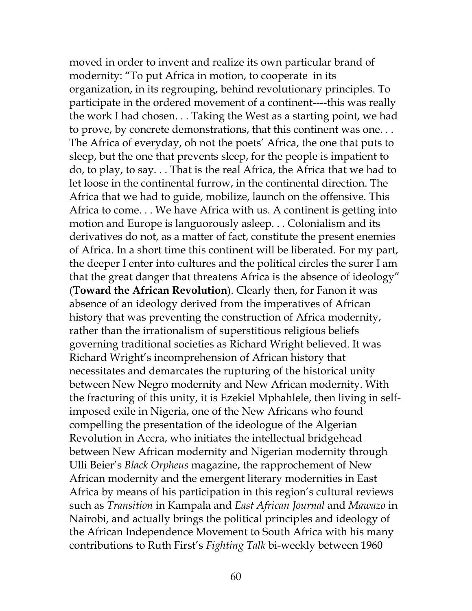moved in order to invent and realize its own particular brand of modernity: "To put Africa in motion, to cooperate in its organization, in its regrouping, behind revolutionary principles. To participate in the ordered movement of a continent----this was really the work I had chosen. . . Taking the West as a starting point, we had to prove, by concrete demonstrations, that this continent was one. . . The Africa of everyday, oh not the poets' Africa, the one that puts to sleep, but the one that prevents sleep, for the people is impatient to do, to play, to say. . . That is the real Africa, the Africa that we had to let loose in the continental furrow, in the continental direction. The Africa that we had to guide, mobilize, launch on the offensive. This Africa to come. . . We have Africa with us. A continent is getting into motion and Europe is languorously asleep. . . Colonialism and its derivatives do not, as a matter of fact, constitute the present enemies of Africa. In a short time this continent will be liberated. For my part, the deeper I enter into cultures and the political circles the surer I am that the great danger that threatens Africa is the absence of ideology" (**Toward the African Revolution**). Clearly then, for Fanon it was absence of an ideology derived from the imperatives of African history that was preventing the construction of Africa modernity, rather than the irrationalism of superstitious religious beliefs governing traditional societies as Richard Wright believed. It was Richard Wright's incomprehension of African history that necessitates and demarcates the rupturing of the historical unity between New Negro modernity and New African modernity. With the fracturing of this unity, it is Ezekiel Mphahlele, then living in selfimposed exile in Nigeria, one of the New Africans who found compelling the presentation of the ideologue of the Algerian Revolution in Accra, who initiates the intellectual bridgehead between New African modernity and Nigerian modernity through Ulli Beier's *Black Orpheus* magazine, the rapprochement of New African modernity and the emergent literary modernities in East Africa by means of his participation in this region's cultural reviews such as *Transition* in Kampala and *East African Journal* and *Mawazo* in Nairobi, and actually brings the political principles and ideology of the African Independence Movement to South Africa with his many contributions to Ruth First's *Fighting Talk* bi-weekly between 1960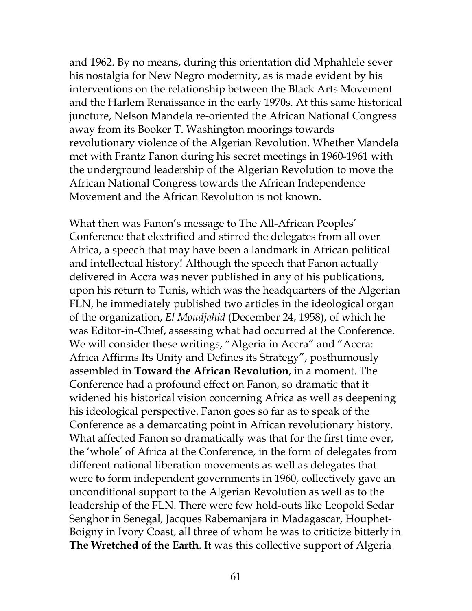and 1962. By no means, during this orientation did Mphahlele sever his nostalgia for New Negro modernity, as is made evident by his interventions on the relationship between the Black Arts Movement and the Harlem Renaissance in the early 1970s. At this same historical juncture, Nelson Mandela re-oriented the African National Congress away from its Booker T. Washington moorings towards revolutionary violence of the Algerian Revolution. Whether Mandela met with Frantz Fanon during his secret meetings in 1960-1961 with the underground leadership of the Algerian Revolution to move the African National Congress towards the African Independence Movement and the African Revolution is not known.

What then was Fanon's message to The All-African Peoples' Conference that electrified and stirred the delegates from all over Africa, a speech that may have been a landmark in African political and intellectual history! Although the speech that Fanon actually delivered in Accra was never published in any of his publications, upon his return to Tunis, which was the headquarters of the Algerian FLN, he immediately published two articles in the ideological organ of the organization, *El Moudjahid* (December 24, 1958), of which he was Editor-in-Chief, assessing what had occurred at the Conference. We will consider these writings, "Algeria in Accra" and "Accra: Africa Affirms Its Unity and Defines its Strategy", posthumously assembled in **Toward the African Revolution**, in a moment. The Conference had a profound effect on Fanon, so dramatic that it widened his historical vision concerning Africa as well as deepening his ideological perspective. Fanon goes so far as to speak of the Conference as a demarcating point in African revolutionary history. What affected Fanon so dramatically was that for the first time ever, the 'whole' of Africa at the Conference, in the form of delegates from different national liberation movements as well as delegates that were to form independent governments in 1960, collectively gave an unconditional support to the Algerian Revolution as well as to the leadership of the FLN. There were few hold-outs like Leopold Sedar Senghor in Senegal, Jacques Rabemanjara in Madagascar, Houphet-Boigny in Ivory Coast, all three of whom he was to criticize bitterly in **The Wretched of the Earth**. It was this collective support of Algeria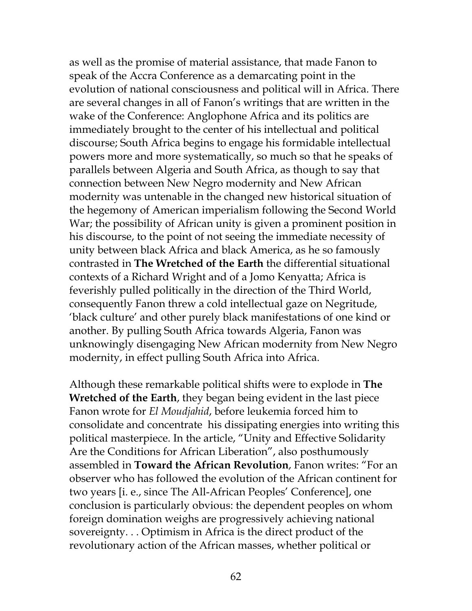as well as the promise of material assistance, that made Fanon to speak of the Accra Conference as a demarcating point in the evolution of national consciousness and political will in Africa. There are several changes in all of Fanon's writings that are written in the wake of the Conference: Anglophone Africa and its politics are immediately brought to the center of his intellectual and political discourse; South Africa begins to engage his formidable intellectual powers more and more systematically, so much so that he speaks of parallels between Algeria and South Africa, as though to say that connection between New Negro modernity and New African modernity was untenable in the changed new historical situation of the hegemony of American imperialism following the Second World War; the possibility of African unity is given a prominent position in his discourse, to the point of not seeing the immediate necessity of unity between black Africa and black America, as he so famously contrasted in **The Wretched of the Earth** the differential situational contexts of a Richard Wright and of a Jomo Kenyatta; Africa is feverishly pulled politically in the direction of the Third World, consequently Fanon threw a cold intellectual gaze on Negritude, 'black culture' and other purely black manifestations of one kind or another. By pulling South Africa towards Algeria, Fanon was unknowingly disengaging New African modernity from New Negro modernity, in effect pulling South Africa into Africa.

Although these remarkable political shifts were to explode in **The Wretched of the Earth**, they began being evident in the last piece Fanon wrote for *El Moudjahid*, before leukemia forced him to consolidate and concentrate his dissipating energies into writing this political masterpiece. In the article, "Unity and Effective Solidarity Are the Conditions for African Liberation", also posthumously assembled in **Toward the African Revolution**, Fanon writes: "For an observer who has followed the evolution of the African continent for two years [i. e., since The All-African Peoples' Conference], one conclusion is particularly obvious: the dependent peoples on whom foreign domination weighs are progressively achieving national sovereignty. . . Optimism in Africa is the direct product of the revolutionary action of the African masses, whether political or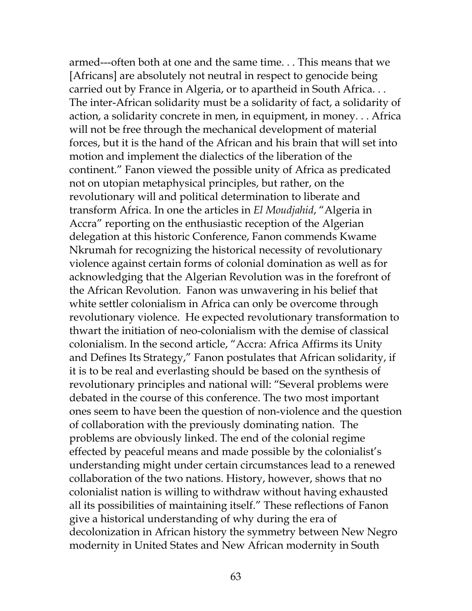armed---often both at one and the same time. . . This means that we [Africans] are absolutely not neutral in respect to genocide being carried out by France in Algeria, or to apartheid in South Africa. . . The inter-African solidarity must be a solidarity of fact, a solidarity of action, a solidarity concrete in men, in equipment, in money. . . Africa will not be free through the mechanical development of material forces, but it is the hand of the African and his brain that will set into motion and implement the dialectics of the liberation of the continent." Fanon viewed the possible unity of Africa as predicated not on utopian metaphysical principles, but rather, on the revolutionary will and political determination to liberate and transform Africa. In one the articles in *El Moudjahid*, "Algeria in Accra" reporting on the enthusiastic reception of the Algerian delegation at this historic Conference, Fanon commends Kwame Nkrumah for recognizing the historical necessity of revolutionary violence against certain forms of colonial domination as well as for acknowledging that the Algerian Revolution was in the forefront of the African Revolution. Fanon was unwavering in his belief that white settler colonialism in Africa can only be overcome through revolutionary violence. He expected revolutionary transformation to thwart the initiation of neo-colonialism with the demise of classical colonialism. In the second article, "Accra: Africa Affirms its Unity and Defines Its Strategy," Fanon postulates that African solidarity, if it is to be real and everlasting should be based on the synthesis of revolutionary principles and national will: "Several problems were debated in the course of this conference. The two most important ones seem to have been the question of non-violence and the question of collaboration with the previously dominating nation. The problems are obviously linked. The end of the colonial regime effected by peaceful means and made possible by the colonialist's understanding might under certain circumstances lead to a renewed collaboration of the two nations. History, however, shows that no colonialist nation is willing to withdraw without having exhausted all its possibilities of maintaining itself." These reflections of Fanon give a historical understanding of why during the era of decolonization in African history the symmetry between New Negro modernity in United States and New African modernity in South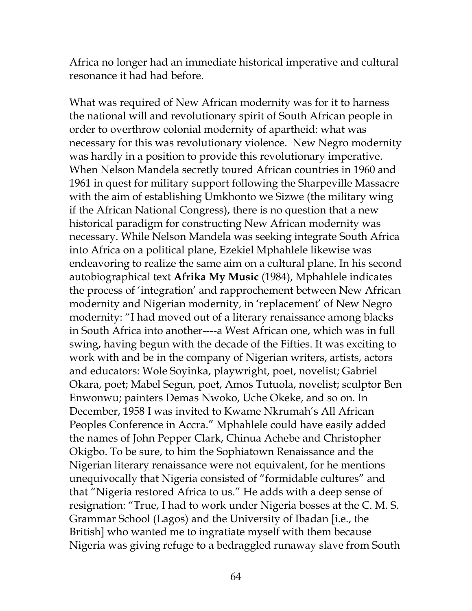Africa no longer had an immediate historical imperative and cultural resonance it had had before.

What was required of New African modernity was for it to harness the national will and revolutionary spirit of South African people in order to overthrow colonial modernity of apartheid: what was necessary for this was revolutionary violence. New Negro modernity was hardly in a position to provide this revolutionary imperative. When Nelson Mandela secretly toured African countries in 1960 and 1961 in quest for military support following the Sharpeville Massacre with the aim of establishing Umkhonto we Sizwe (the military wing if the African National Congress), there is no question that a new historical paradigm for constructing New African modernity was necessary. While Nelson Mandela was seeking integrate South Africa into Africa on a political plane, Ezekiel Mphahlele likewise was endeavoring to realize the same aim on a cultural plane. In his second autobiographical text **Afrika My Music** (1984), Mphahlele indicates the process of 'integration' and rapprochement between New African modernity and Nigerian modernity, in 'replacement' of New Negro modernity: "I had moved out of a literary renaissance among blacks in South Africa into another----a West African one, which was in full swing, having begun with the decade of the Fifties. It was exciting to work with and be in the company of Nigerian writers, artists, actors and educators: Wole Soyinka, playwright, poet, novelist; Gabriel Okara, poet; Mabel Segun, poet, Amos Tutuola, novelist; sculptor Ben Enwonwu; painters Demas Nwoko, Uche Okeke, and so on. In December, 1958 I was invited to Kwame Nkrumah's All African Peoples Conference in Accra." Mphahlele could have easily added the names of John Pepper Clark, Chinua Achebe and Christopher Okigbo. To be sure, to him the Sophiatown Renaissance and the Nigerian literary renaissance were not equivalent, for he mentions unequivocally that Nigeria consisted of "formidable cultures" and that "Nigeria restored Africa to us." He adds with a deep sense of resignation: "True, I had to work under Nigeria bosses at the C. M. S. Grammar School (Lagos) and the University of Ibadan [i.e., the British] who wanted me to ingratiate myself with them because Nigeria was giving refuge to a bedraggled runaway slave from South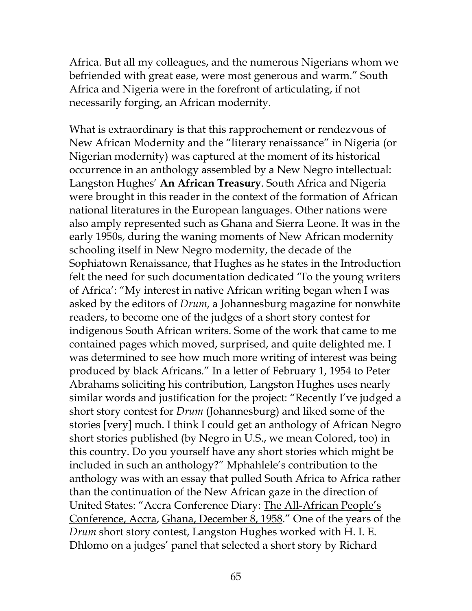Africa. But all my colleagues, and the numerous Nigerians whom we befriended with great ease, were most generous and warm." South Africa and Nigeria were in the forefront of articulating, if not necessarily forging, an African modernity.

What is extraordinary is that this rapprochement or rendezvous of New African Modernity and the "literary renaissance" in Nigeria (or Nigerian modernity) was captured at the moment of its historical occurrence in an anthology assembled by a New Negro intellectual: Langston Hughes' **An African Treasury**. South Africa and Nigeria were brought in this reader in the context of the formation of African national literatures in the European languages. Other nations were also amply represented such as Ghana and Sierra Leone. It was in the early 1950s, during the waning moments of New African modernity schooling itself in New Negro modernity, the decade of the Sophiatown Renaissance, that Hughes as he states in the Introduction felt the need for such documentation dedicated 'To the young writers of Africa': "My interest in native African writing began when I was asked by the editors of *Drum*, a Johannesburg magazine for nonwhite readers, to become one of the judges of a short story contest for indigenous South African writers. Some of the work that came to me contained pages which moved, surprised, and quite delighted me. I was determined to see how much more writing of interest was being produced by black Africans." In a letter of February 1, 1954 to Peter Abrahams soliciting his contribution, Langston Hughes uses nearly similar words and justification for the project: "Recently I've judged a short story contest for *Drum* (Johannesburg) and liked some of the stories [very] much. I think I could get an anthology of African Negro short stories published (by Negro in U.S., we mean Colored, too) in this country. Do you yourself have any short stories which might be included in such an anthology?" Mphahlele's contribution to the anthology was with an essay that pulled South Africa to Africa rather than the continuation of the New African gaze in the direction of United States: "Accra Conference Diary: The All-African People's Conference, Accra, Ghana, December 8, 1958." One of the years of the *Drum* short story contest, Langston Hughes worked with H. I. E. Dhlomo on a judges' panel that selected a short story by Richard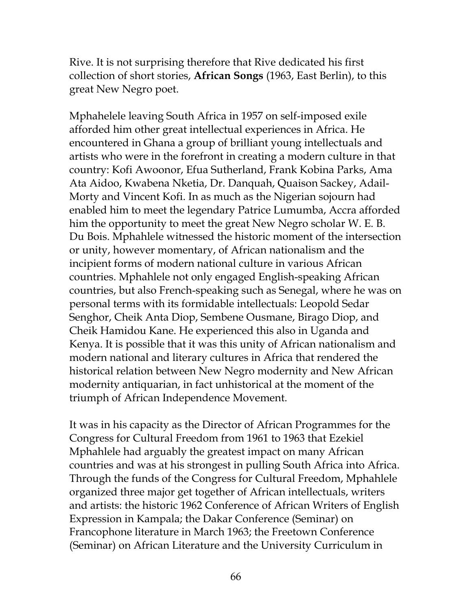Rive. It is not surprising therefore that Rive dedicated his first collection of short stories, **African Songs** (1963, East Berlin), to this great New Negro poet.

Mphahelele leaving South Africa in 1957 on self-imposed exile afforded him other great intellectual experiences in Africa. He encountered in Ghana a group of brilliant young intellectuals and artists who were in the forefront in creating a modern culture in that country: Kofi Awoonor, Efua Sutherland, Frank Kobina Parks, Ama Ata Aidoo, Kwabena Nketia, Dr. Danquah, Quaison Sackey, Adail-Morty and Vincent Kofi. In as much as the Nigerian sojourn had enabled him to meet the legendary Patrice Lumumba, Accra afforded him the opportunity to meet the great New Negro scholar W. E. B. Du Bois. Mphahlele witnessed the historic moment of the intersection or unity, however momentary, of African nationalism and the incipient forms of modern national culture in various African countries. Mphahlele not only engaged English-speaking African countries, but also French-speaking such as Senegal, where he was on personal terms with its formidable intellectuals: Leopold Sedar Senghor, Cheik Anta Diop, Sembene Ousmane, Birago Diop, and Cheik Hamidou Kane. He experienced this also in Uganda and Kenya. It is possible that it was this unity of African nationalism and modern national and literary cultures in Africa that rendered the historical relation between New Negro modernity and New African modernity antiquarian, in fact unhistorical at the moment of the triumph of African Independence Movement.

It was in his capacity as the Director of African Programmes for the Congress for Cultural Freedom from 1961 to 1963 that Ezekiel Mphahlele had arguably the greatest impact on many African countries and was at his strongest in pulling South Africa into Africa. Through the funds of the Congress for Cultural Freedom, Mphahlele organized three major get together of African intellectuals, writers and artists: the historic 1962 Conference of African Writers of English Expression in Kampala; the Dakar Conference (Seminar) on Francophone literature in March 1963; the Freetown Conference (Seminar) on African Literature and the University Curriculum in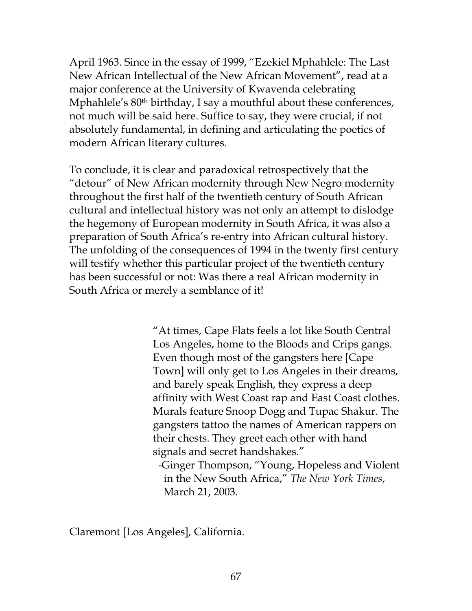April 1963. Since in the essay of 1999, "Ezekiel Mphahlele: The Last New African Intellectual of the New African Movement", read at a major conference at the University of Kwavenda celebrating Mphahlele's 80<sup>th</sup> birthday, I say a mouthful about these conferences, not much will be said here. Suffice to say, they were crucial, if not absolutely fundamental, in defining and articulating the poetics of modern African literary cultures.

To conclude, it is clear and paradoxical retrospectively that the "detour" of New African modernity through New Negro modernity throughout the first half of the twentieth century of South African cultural and intellectual history was not only an attempt to dislodge the hegemony of European modernity in South Africa, it was also a preparation of South Africa's re-entry into African cultural history. The unfolding of the consequences of 1994 in the twenty first century will testify whether this particular project of the twentieth century has been successful or not: Was there a real African modernity in South Africa or merely a semblance of it!

> "At times, Cape Flats feels a lot like South Central Los Angeles, home to the Bloods and Crips gangs. Even though most of the gangsters here [Cape Town] will only get to Los Angeles in their dreams, and barely speak English, they express a deep affinity with West Coast rap and East Coast clothes. Murals feature Snoop Dogg and Tupac Shakur. The gangsters tattoo the names of American rappers on their chests. They greet each other with hand signals and secret handshakes." -Ginger Thompson, "Young, Hopeless and Violent

 in the New South Africa," *The New York Times*, March 21, 2003.

Claremont [Los Angeles], California.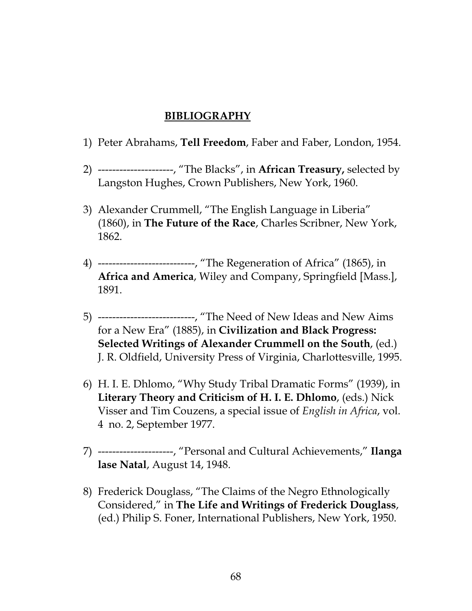## **BIBLIOGRAPHY**

- 1) Peter Abrahams, **Tell Freedom**, Faber and Faber, London, 1954.
- 2) ---------------------, "The Blacks", in **African Treasury,** selected by Langston Hughes, Crown Publishers, New York, 1960.
- 3) Alexander Crummell, "The English Language in Liberia" (1860), in **The Future of the Race**, Charles Scribner, New York, 1862.
- 4) ---------------------------, "The Regeneration of Africa" (1865), in **Africa and America**, Wiley and Company, Springfield [Mass.], 1891.
- 5) ---------------------------, "The Need of New Ideas and New Aims for a New Era" (1885), in **Civilization and Black Progress: Selected Writings of Alexander Crummell on the South**, (ed.) J. R. Oldfield, University Press of Virginia, Charlottesville, 1995.
- 6) H. I. E. Dhlomo, "Why Study Tribal Dramatic Forms" (1939), in **Literary Theory and Criticism of H. I. E. Dhlomo**, (eds.) Nick Visser and Tim Couzens, a special issue of *English in Africa*, vol. 4 no. 2, September 1977.
- 7) ---------------------, "Personal and Cultural Achievements," **Ilanga lase Natal**, August 14, 1948.
- 8) Frederick Douglass, "The Claims of the Negro Ethnologically Considered," in **The Life and Writings of Frederick Douglass**, (ed.) Philip S. Foner, International Publishers, New York, 1950.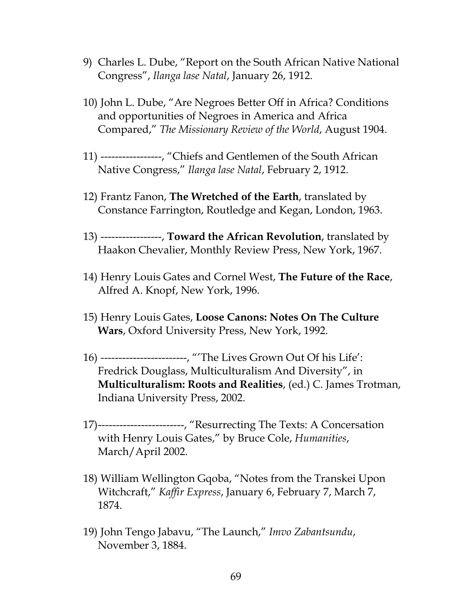- 9) Charles L. Dube, "Report on the South African Native National Congress", *Ilanga lase Natal*, January 26, 1912.
- 10) John L. Dube, "Are Negroes Better Off in Africa? Conditions and opportunities of Negroes in America and Africa Compared," *The Missionary Review of the World*, August 1904.
- 11) -----------------, "Chiefs and Gentlemen of the South African Native Congress," *Ilanga lase Natal*, February 2, 1912.
- 12) Frantz Fanon, **The Wretched of the Earth**, translated by Constance Farrington, Routledge and Kegan, London, 1963.
- 13) -----------------, **Toward the African Revolution**, translated by Haakon Chevalier, Monthly Review Press, New York, 1967.
- 14) Henry Louis Gates and Cornel West, **The Future of the Race**, Alfred A. Knopf, New York, 1996.
- 15) Henry Louis Gates, **Loose Canons: Notes On The Culture Wars**, Oxford University Press, New York, 1992.
- 16) ------------------------, "'The Lives Grown Out Of his Life': Fredrick Douglass, Multiculturalism And Diversity", in **Multiculturalism: Roots and Realities**, (ed.) C. James Trotman, Indiana University Press, 2002.
- 17)------------------------, "Resurrecting The Texts: A Concersation with Henry Louis Gates," by Bruce Cole, *Humanities*, March/April 2002.
- 18) William Wellington Gqoba, "Notes from the Transkei Upon Witchcraft," *Kaffir Express*, January 6, February 7, March 7, 1874.
- 19) John Tengo Jabavu, "The Launch," *Imvo Zabantsundu*, November 3, 1884.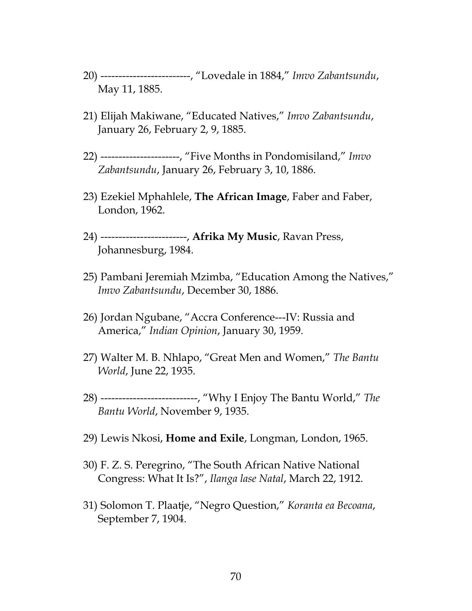- 20) -------------------------, "Lovedale in 1884," *Imvo Zabantsundu*, May 11, 1885.
- 21) Elijah Makiwane, "Educated Natives," *Imvo Zabantsundu*, January 26, February 2, 9, 1885.
- 22) ----------------------, "Five Months in Pondomisiland," *Imvo Zabantsundu*, January 26, February 3, 10, 1886.
- 23) Ezekiel Mphahlele, **The African Image**, Faber and Faber, London, 1962.
- 24) ------------------------, **Afrika My Music**, Ravan Press, Johannesburg, 1984.
- 25) Pambani Jeremiah Mzimba, "Education Among the Natives," *Imvo Zabantsundu*, December 30, 1886.
- 26) Jordan Ngubane, "Accra Conference---IV: Russia and America," *Indian Opinion*, January 30, 1959.
- 27) Walter M. B. Nhlapo, "Great Men and Women," *The Bantu World*, June 22, 1935.
- 28) ---------------------------, "Why I Enjoy The Bantu World," *The Bantu World*, November 9, 1935.
- 29) Lewis Nkosi, **Home and Exile**, Longman, London, 1965.
- 30) F. Z. S. Peregrino, "The South African Native National Congress: What It Is?", *Ilanga lase Natal*, March 22, 1912.
- 31) Solomon T. Plaatje, "Negro Question," *Koranta ea Becoana*, September 7, 1904.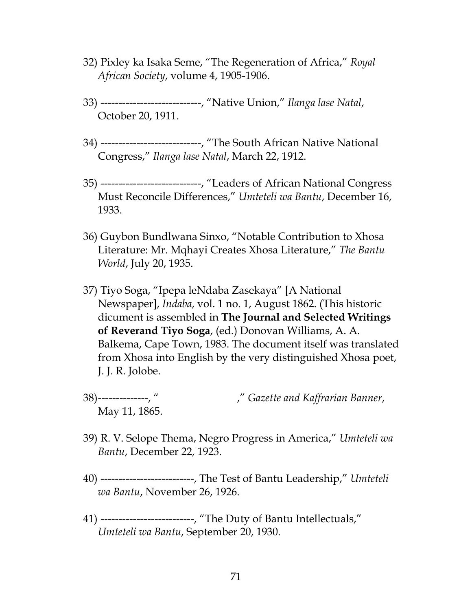- 32) Pixley ka Isaka Seme, "The Regeneration of Africa," *Royal African Society*, volume 4, 1905-1906.
- 33) ----------------------------, "Native Union," *Ilanga lase Natal*, October 20, 1911.
- 34) ----------------------------, "The South African Native National Congress," *Ilanga lase Natal*, March 22, 1912.
- 35) ----------------------------, "Leaders of African National Congress Must Reconcile Differences," *Umteteli wa Bantu*, December 16, 1933.
- 36) Guybon Bundlwana Sinxo, "Notable Contribution to Xhosa Literature: Mr. Mqhayi Creates Xhosa Literature," *The Bantu World*, July 20, 1935.
- 37) Tiyo Soga, "Ipepa leNdaba Zasekaya" [A National Newspaper], *Indaba*, vol. 1 no. 1, August 1862. (This historic dicument is assembled in **The Journal and Selected Writings of Reverand Tiyo Soga**, (ed.) Donovan Williams, A. A. Balkema, Cape Town, 1983. The document itself was translated from Xhosa into English by the very distinguished Xhosa poet, J. J. R. Jolobe.
- 38)--------------, " ," *Gazette and Kaffrarian Banner*, May 11, 1865.
- 39) R. V. Selope Thema, Negro Progress in America," *Umteteli wa Bantu*, December 22, 1923.
- 40) --------------------------, The Test of Bantu Leadership," *Umteteli wa Bantu*, November 26, 1926.
- 41) --------------------------, "The Duty of Bantu Intellectuals," *Umteteli wa Bantu*, September 20, 1930.